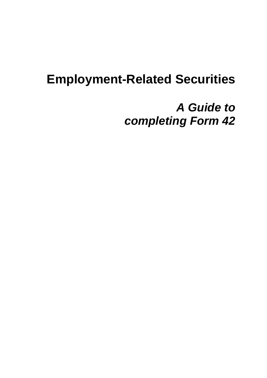# **Employment-Related Securities**

# *A Guide to completing Form 42*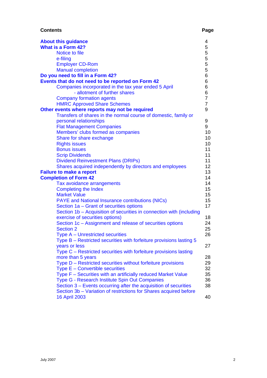# **Contents** Page **Page 2014**

| <b>About this guidance</b>                                           | 4              |
|----------------------------------------------------------------------|----------------|
| <b>What is a Form 42?</b>                                            | 5              |
| Notice to file                                                       | 5              |
| e-filing                                                             |                |
|                                                                      | $\frac{5}{5}$  |
| <b>Employer CD-Rom</b>                                               |                |
| <b>Manual completion</b>                                             | 5              |
| Do you need to fill in a Form 42?                                    | 6              |
| Events that do not need to be reported on Form 42                    | 6              |
| Companies incorporated in the tax year ended 5 April                 | 6              |
| - allotment of further shares                                        | 6              |
| <b>Company formation agents</b>                                      | $\overline{7}$ |
| <b>HMRC Approved Share Schemes</b>                                   | $\overline{7}$ |
| Other events where reports may not be required                       | 9              |
| Transfers of shares in the normal course of domestic, family or      |                |
| personal relationships                                               | 9              |
| <b>Flat Management Companies</b>                                     | 9              |
| Members' clubs formed as companies                                   | 10             |
| Share for share exchange                                             | 10             |
| <b>Rights issues</b>                                                 | 10             |
| <b>Bonus issues</b>                                                  | 11             |
| <b>Scrip Dividends</b>                                               | 11             |
| <b>Dividend Reinvestment Plans (DRIPs)</b>                           | 11             |
| Shares acquired independently by directors and employees             | 12             |
| <b>Failure to make a report</b>                                      | 13             |
| <b>Completion of Form 42</b>                                         | 14             |
| Tax avoidance arrangements                                           | 14             |
| <b>Completing the Index</b>                                          | 15             |
| <b>Market Value</b>                                                  | 15             |
| <b>PAYE</b> and National Insurance contributions (NICs)              | 15             |
| Section 1a – Grant of securities options                             | 17             |
|                                                                      |                |
| Section 1b – Acquisition of securities in connection with (including |                |
| exercise of securities options)                                      | 18             |
| Section 1c - Assignment and release of securities options            | 24             |
| <b>Section 2</b>                                                     | 25             |
| Type A - Unrestricted securities                                     | 26             |
| Type B – Restricted securities with forfeiture provisions lasting 5  |                |
| years or less                                                        | 27             |
| Type C – Restricted securities with forfeiture provisions lasting    |                |
| more than 5 years                                                    | 28             |
| Type D - Restricted securities without forfeiture provisions         | 29             |
| Type E - Convertible securities                                      | 32             |
| Type F – Securities with an artificially reduced Market Value        | 35             |
| Type G - Research Institute Spin Out Companies                       | 36             |
| Section 3 – Events occurring after the acquisition of securities     | 38             |
| Section 3b - Variation of restrictions for Shares acquired before    |                |
| <b>16 April 2003</b>                                                 | 40             |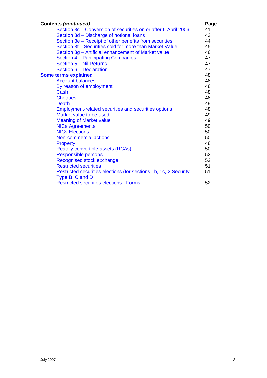| <b>Contents (continued)</b>                                       | Page |
|-------------------------------------------------------------------|------|
| Section 3c - Conversion of securities on or after 6 April 2006    | 41   |
| Section 3d - Discharge of notional loans                          | 43   |
| Section 3e – Receipt of other benefits from securities            | 44   |
| Section 3f – Securities sold for more than Market Value           | 45   |
| Section 3g - Artificial enhancement of Market value               | 46   |
| Section 4 - Participating Companies                               | 47   |
| Section 5 - Nil Returns                                           | 47   |
| Section 6 - Declaration                                           | 47   |
| <b>Some terms explained</b>                                       | 48   |
| <b>Account balances</b>                                           | 48   |
| By reason of employment                                           | 48   |
| Cash                                                              | 48   |
| <b>Cheques</b>                                                    | 48   |
| <b>Death</b>                                                      | 49   |
| <b>Employment-related securities and securities options</b>       | 48   |
| Market value to be used                                           | 49   |
| <b>Meaning of Market value</b>                                    | 49   |
| <b>NICs Agreements</b>                                            | 50   |
| <b>NICs Elections</b>                                             | 50   |
| Non-commercial actions                                            | 50   |
| <b>Property</b>                                                   | 48   |
| <b>Readily convertible assets (RCAs)</b>                          | 50   |
| <b>Responsible persons</b>                                        | 52   |
| Recognised stock exchange                                         | 52   |
| <b>Restricted securities</b>                                      | 51   |
| Restricted securities elections (for sections 1b, 1c, 2 Security  | 51   |
| Type B, C and D<br><b>Restricted securities elections - Forms</b> | 52   |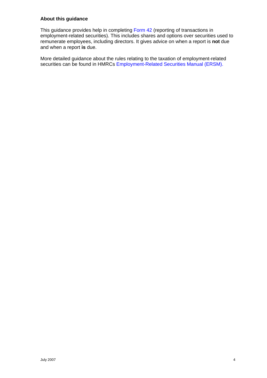# <span id="page-3-0"></span>**About this guidance**

This guidance provides help in completing [Form 42](http://www.hmrc.gov.uk/shareschemes/ann-app-schemes.htm) (reporting of transactions in employment-related securities). This includes shares and options over securities used to remunerate employees, including directors. It gives advice on when a report is **not** due and when a report **is** due.

More detailed guidance about the rules relating to the taxation of employment-related securities can be found in HMRCs [Employment-Related Securities Manual \(ERSM\).](http://www.hmrc.gov.uk/manuals/ersmmanual/index.htm)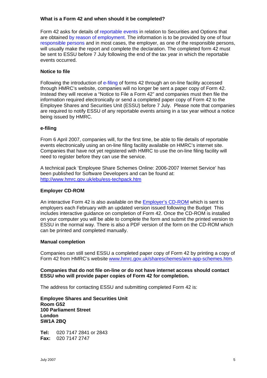# <span id="page-4-0"></span>**What is a Form 42 and when should it be completed?**

Form 42 asks for details of [reportable events](#page-13-0) in relation to Securities and Options that are obtained [by reason of employment.](#page-47-0) The information is to be provided by one of four [responsible persons](#page-51-0) and in most cases, the employer, as one of the responsible persons, will usually make the report and complete the declaration. The completed form 42 must be sent to ESSU before 7 July following the end of the tax year in which the reportable events occurred.

## **Notice to file**

Following the introduction of [e-filing](#page-4-0) of forms 42 through an on-line facility accessed through HMRC's website, companies will no longer be sent a paper copy of Form 42. Instead they will receive a "Notice to File a Form 42" and companies must then file the information required electronically or send a completed paper copy of Form 42 to the Employee Shares and Securities Unit (ESSU) before 7 July. Please note that companies are required to notify ESSU of any reportable events arising in a tax year without a notice being issued by HMRC.

# **e-filing**

From 6 April 2007, companies will, for the first time, be able to file details of reportable events electronically using an on-line filing facility available on HMRC's internet site. Companies that have not yet registered with HMRC to use the on-line filing facility will need to register before they can use the service.

A technical pack 'Employee Share Schemes Online: 2006-2007 Internet Service' has been published for Software Developers and can be found at: <http://www.hmrc.gov.uk/ebu/ess-techpack.htm>

#### **Employer CD-ROM**

An interactive Form 42 is also available on the [Employer's CD-ROM](http://www.hmrc.gov.uk/employers/cdrom/index.htm) which is sent to employers each February with an updated version issued following the Budget This includes interactive guidance on completion of Form 42. Once the CD-ROM is installed on your computer you will be able to complete the form and submit the printed version to ESSU in the normal way. There is also a PDF version of the form on the CD-ROM which can be printed and completed manually.

#### **Manual completion**

Companies can still send ESSU a completed paper copy of Form 42 by printing a copy of Form 42 from HMRC's website [www.hmrc.gov.uk/shareschemes/ann-app-schemes.htm](http://www.hmrc.gov.uk/shareschemes/ann-app-schemes.htm).

**Companies that do not file on-line or do not have internet access should contact ESSU who will provide paper copies of Form 42 for completion.** 

The address for contacting ESSU and submitting completed Form 42 is:

**Employee Shares and Securities Unit Room G52 100 Parliament Street London SW1A 2BQ** 

**Tel:** 020 7147 2841 or 2843 **Fax:** 020 7147 2747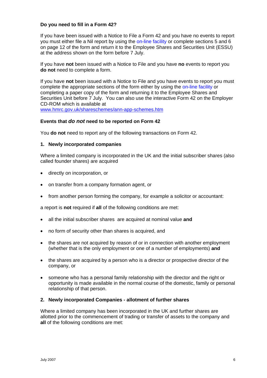## <span id="page-5-0"></span>**Do you need to fill in a Form 42?**

If you have been issued with a Notice to File a Form 42 and you have no events to report you must either file a Nil report by using the [on-line facility](#page-4-0) or complete sections 5 and 6 on page 12 of the form and return it to the Employee Shares and Securities Unit (ESSU) at the address shown on the form before 7 July.

If you have **not** been issued with a Notice to File and you have **no** events to report you **do not** need to complete a form.

If you have **not** been issued with a Notice to File and you have events to report you must complete the appropriate sections of the form either by using the [on-line facility](#page-4-0) or completing a paper copy of the form and returning it to the Employee Shares and Securities Unit before 7 July. You can also use the interactive Form 42 on the Employer CD-ROM which is available at

[www.hmrc.gov.uk/shareschemes/ann-app-schemes.htm](http://www.hmrc.gov.uk/shareschemes/ann-app-schemes.htm)

## **Events that** *do not* **need to be reported on Form 42**

You **do not** need to report any of the following transactions on Form 42.

## **1. Newly incorporated companies**

Where a limited company is incorporated in the UK and the initial subscriber shares (also called founder shares) are acquired

- directly on incorporation, or
- on transfer from a company formation agent, or
- from another person forming the company, for example a solicitor or accountant:

a report is **not** required if **all** of the following conditions are met:

- all the initial subscriber shares are acquired at nominal value **and**
- no form of security other than shares is acquired, and
- the shares are not acquired by reason of or in connection with another employment (whether that is the only employment or one of a number of employments) **and**
- the shares are acquired by a person who is a director or prospective director of the company, or
- someone who has a personal family relationship with the director and the right or opportunity is made available in the normal course of the domestic, family or personal relationship of that person.

#### **2. Newly incorporated Companies - allotment of further shares**

Where a limited company has been incorporated in the UK and further shares are allotted prior to the commencement of trading or transfer of assets to the company and **all** of the following conditions are met: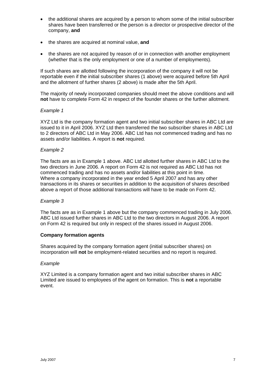- <span id="page-6-0"></span>• the additional shares are acquired by a person to whom some of the initial subscriber shares have been transferred or the person is a director or prospective director of the company, **and**
- the shares are acquired at nominal value, **and**
- the shares are not acquired by reason of or in connection with another employment (whether that is the only employment or one of a number of employments).

If such shares are allotted following the incorporation of the company it will not be reportable even if the initial subscriber shares (1 above) were acquired before 5th April and the allotment of further shares (2 above) is made after the 5th April.

The majority of newly incorporated companies should meet the above conditions and will **not** have to complete Form 42 in respect of the founder shares or the further allotment.

## *Example 1*

XYZ Ltd is the company formation agent and two initial subscriber shares in ABC Ltd are issued to it in April 2006. XYZ Ltd then transferred the two subscriber shares in ABC Ltd to 2 directors of ABC Ltd in May 2006. ABC Ltd has not commenced trading and has no assets and/or liabilities. A report is **not** required.

## *Example 2*

The facts are as in Example 1 above. ABC Ltd allotted further shares in ABC Ltd to the two directors in June 2006. A report on Form 42 is not required as ABC Ltd has not commenced trading and has no assets and/or liabilities at this point in time. Where a company incorporated in the year ended 5 April 2007 and has any other transactions in its shares or securities in addition to the acquisition of shares described above a report of those additional transactions will have to be made on Form 42.

#### *Example 3*

The facts are as in Example 1 above but the company commenced trading in July 2006. ABC Ltd issued further shares in ABC Ltd to the two directors in August 2006. A report on Form 42 is required but only in respect of the shares issued in August 2006.

#### **Company formation agents**

Shares acquired by the company formation agent (initial subscriber shares) on incorporation will **not** be employment-related securities and no report is required.

#### *Example*

XYZ Limited is a company formation agent and two initial subscriber shares in ABC Limited are issued to employees of the agent on formation. This is **not** a reportable event.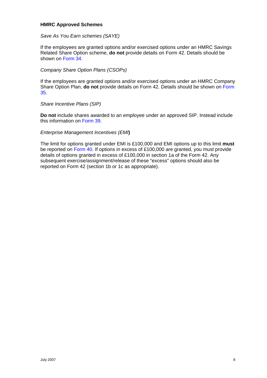#### <span id="page-7-0"></span>**HMRC Approved Schemes**

*Save As You Earn schemes (SAYE)* 

If the employees are granted options and/or exercised options under an HMRC Savings Related Share Option scheme, **do not** provide details on Form 42. Details should be shown on [Form 34.](http://www.hmrc.gov.uk/shareschemes/ann-app-schemes.htm)

*Company Share Option Plans (CSOPs)* 

If the employees are granted options and/or exercised options under an HMRC Company Share Option Plan, **do not** provide details on Form 42. Details should be shown on [Form](http://www.hmrc.gov.uk/shareschemes/ann-app-schemes.htm)  [35.](http://www.hmrc.gov.uk/shareschemes/ann-app-schemes.htm)

*Share Incentive Plans (SIP)* 

**Do not** include shares awarded to an employee under an approved SIP. Instead include this information on [Form 39.](http://www.hmrc.gov.uk/shareschemes/ann-app-schemes.htm)

#### *Enterprise Management Incentives (EMI***)**

The limit for options granted under EMI is £100,000 and EMI options up to this limit **must** be reported on [Form 40.](http://www.hmrc.gov.uk/shareschemes/ann-app-schemes.htm) If options in excess of £100,000 are granted, you must provide details of options granted in excess of £100,000 in section 1a of the Form 42. Any subsequent exercise/assignment/release of these "excess" options should also be reported on Form 42 (section 1b or 1c as appropriate).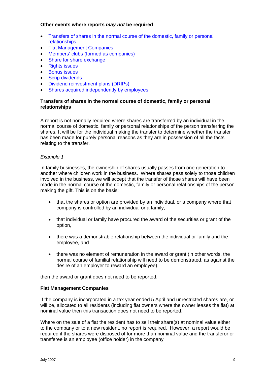## <span id="page-8-0"></span>**Other events where reports** *may not* **be required**

- [Transfers of shares in the normal course of the domestic, family or personal](#page-8-0)  [relationships](#page-8-0)
- [Flat Management Companies](#page-8-0)
- [Members' clubs \(formed as companies\)](#page-9-0)
- [Share for share exchange](#page-9-0)
- [Rights issues](#page-9-0)
- [Bonus issues](#page-10-0)
- [Scrip dividends](#page-10-0)
- [Dividend reinvestment plans \(DRIPs\)](#page-10-0)
- [Shares acquired independently by employees](#page-11-0)

# **Transfers of shares in the normal course of domestic, family or personal relationships**

A report is not normally required where shares are transferred by an individual in the normal course of domestic, family or personal relationships of the person transferring the shares. It will be for the individual making the transfer to determine whether the transfer has been made for purely personal reasons as they are in possession of all the facts relating to the transfer.

## *Example 1*

In family businesses, the ownership of shares usually passes from one generation to another where children work in the business. Where shares pass solely to those children involved in the business, we will accept that the transfer of those shares will have been made in the normal course of the domestic, family or personal relationships of the person making the gift. This is on the basis:

- that the shares or option are provided by an individual, or a company where that company is controlled by an individual or a family,
- that individual or family have procured the award of the securities or grant of the option,
- there was a demonstrable relationship between the individual or family and the employee, and
- there was no element of remuneration in the award or grant (in other words, the normal course of familial relationship will need to be demonstrated, as against the desire of an employer to reward an employee),

then the award or grant does not need to be reported.

#### **Flat Management Companies**

If the company is incorporated in a tax year ended 5 April and unrestricted shares are, or will be, allocated to all residents (including flat owners where the owner leases the flat) at nominal value then this transaction does not need to be reported.

Where on the sale of a flat the resident has to sell their share(s) at nominal value either to the company or to a new resident, no report is required. However, a report would be required if the shares were disposed of for more than nominal value and the transferor or transferee is an employee (office holder) in the company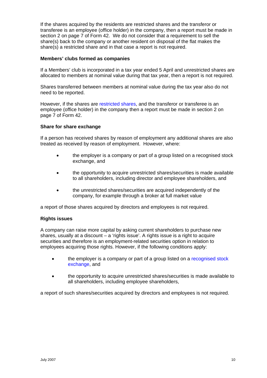<span id="page-9-0"></span>If the shares acquired by the residents are restricted shares and the transferor or transferee is an employee (office holder) in the company, then a report must be made in section 2 on page 7 of Form 42. We do not consider that a requirement to sell the share(s) back to the company or another resident on disposal of the flat makes the share(s) a restricted share and in that case a report is not required.

## **Members' clubs formed as companies**

If a Members' club is incorporated in a tax year ended 5 April and unrestricted shares are allocated to members at nominal value during that tax year, then a report is not required.

Shares transferred between members at nominal value during the tax year also do not need to be reported.

However, if the shares are [restricted shares,](#page-50-0) and the transferor or transferee is an employee (office holder) in the company then a report must be made in section 2 on page 7 of Form 42.

#### **Share for share exchange**

If a person has received shares by reason of employment any additional shares are also treated as received by reason of employment. However, where:

- the employer is a company or part of a group listed on a recognised stock exchange, and
- the opportunity to acquire unrestricted shares/securities is made available to all shareholders, including director and employee shareholders, and
- the unrestricted shares/securities are acquired independently of the company, for example through a broker at full market value

a report of those shares acquired by directors and employees is not required.

#### **Rights issues**

A company can raise more capital by asking current shareholders to purchase new shares, usually at a discount – a 'rights issue'. A rights issue is a right to acquire securities and therefore is an employment-related securities option in relation to employees acquiring those rights. However, if the following conditions apply:

- the employer is a company or part of a group listed on a recognised stock [exchange](#page-51-0), and
- the opportunity to acquire unrestricted shares/securities is made available to all shareholders, including employee shareholders,

a report of such shares/securities acquired by directors and employees is not required.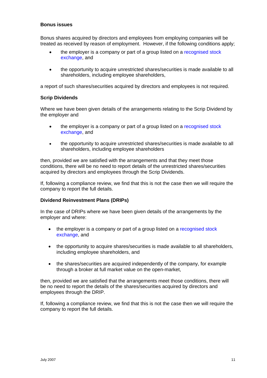## <span id="page-10-0"></span>**Bonus issues**

Bonus shares acquired by directors and employees from employing companies will be treated as received by reason of employment. However, if the following conditions apply;

- the employer is a company or part of a group listed on a recognised stock [exchange](#page-51-0), and
- the opportunity to acquire unrestricted shares/securities is made available to all shareholders, including employee shareholders,

a report of such shares/securities acquired by directors and employees is not required.

## **Scrip Dividends**

Where we have been given details of the arrangements relating to the Scrip Dividend by the employer and

- the employer is a company or part of a group listed on a recognised stock [exchange](#page-51-0), and
- the opportunity to acquire unrestricted shares/securities is made available to all shareholders, including employee shareholders

then, provided we are satisfied with the arrangements and that they meet those conditions, there will be no need to report details of the unrestricted shares/securities acquired by directors and employees through the Scrip Dividends.

If, following a compliance review, we find that this is not the case then we will require the company to report the full details.

#### **Dividend Reinvestment Plans (DRIPs)**

In the case of DRIPs where we have been given details of the arrangements by the employer and where:

- the employer is a company or part of a group listed on a recognised stock [exchange,](#page-51-0) and
- the opportunity to acquire shares/securities is made available to all shareholders, including employee shareholders, and
- the shares/securities are acquired independently of the company, for example through a broker at full market value on the open-market,

then, provided we are satisfied that the arrangements meet those conditions, there will be no need to report the details of the shares/securities acquired by directors and employees through the DRIP.

If, following a compliance review, we find that this is not the case then we will require the company to report the full details.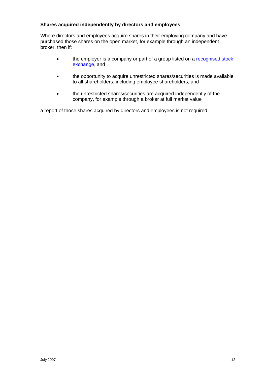# <span id="page-11-0"></span>**Shares acquired independently by directors and employees**

Where directors and employees acquire shares in their employing company and have purchased those shares on the open market, for example through an independent broker, then if:

- the employer is a company or part of a group listed on a recognised stock [exchange,](#page-51-0) and
- the opportunity to acquire unrestricted shares/securities is made available to all shareholders, including employee shareholders, and
- the unrestricted shares/securities are acquired independently of the company, for example through a broker at full market value

a report of those shares acquired by directors and employees is not required.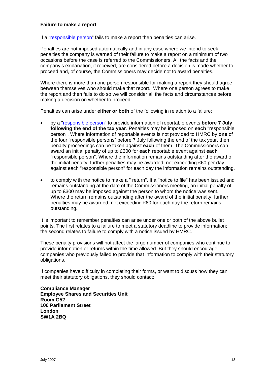#### <span id="page-12-0"></span>**Failure to make a report**

If a ["responsible person"](#page-51-0) fails to make a report then penalties can arise.

Penalties are not imposed automatically and in any case where we intend to seek penalties the company is warned of their failure to make a report on a minimum of two occasions before the case is referred to the Commissioners. All the facts and the company's explanation, if received, are considered before a decision is made whether to proceed and, of course, the Commissioners may decide not to award penalties.

Where there is more than one person responsible for making a report they should agree between themselves who should make that report. Where one person agrees to make the report and then fails to do so we will consider all the facts and circumstances before making a decision on whether to proceed.

Penalties can arise under **either or both** of the following in relation to a failure:

- by a ["responsible person](#page-51-0)" to provide information of reportable events **before 7 July following the end of the tax year**. Penalties may be imposed on **each** "responsible person". Where information of reportable events is not provided to HMRC by **one** of the four "responsible persons" before 7 July following the end of the tax year, then penalty proceedings can be taken against **each** of them. The Commissioners can award an initial penalty of up to £300 for **each** reportable event against **each** "responsible person". Where the information remains outstanding after the award of the initial penalty, further penalties may be awarded, not exceeding £60 per day, against each "responsible person" for each day the information remains outstanding.
- to comply with the notice to make a " return". If a "notice to file" has been issued and remains outstanding at the date of the Commissioners meeting, an initial penalty of up to £300 may be imposed against the person to whom the notice was sent. Where the return remains outstanding after the award of the initial penalty, further penalties may be awarded, not exceeding £60 for each day the return remains outstanding.

It is important to remember penalties can arise under one or both of the above bullet points. The first relates to a failure to meet a statutory deadline to provide information; the second relates to failure to comply with a notice issued by HMRC.

These penalty provisions will not affect the large number of companies who continue to provide information or returns within the time allowed. But they should encourage companies who previously failed to provide that information to comply with their statutory obligations.

If companies have difficulty in completing their forms, or want to discuss how they can meet their statutory obligations, they should contact:

**Compliance Manager Employee Shares and Securities Unit Room G52 100 Parliament Street London SW1A 2BQ**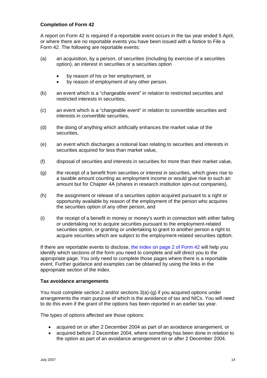# <span id="page-13-0"></span>**Completion of Form 42**

A report on Form 42 is required if a reportable event occurs in the tax year ended 5 April, or where there are no reportable events you have been issued with a Notice to File a Form 42. The following are reportable events:

- (a) an acquisition, by a person, of securities (including by exercise of a securities option), an interest in securities or a securities option
	- by reason of his or her employment, or
	- by reason of employment of any other person.
- (b) an event which is a "chargeable event" in relation to restricted securities and restricted interests in securities,
- (c) an event which is a "chargeable event" in relation to convertible securities and interests in convertible securities,
- (d) the doing of anything which artificially enhances the market value of the securities,
- (e) an event which discharges a notional loan relating to securities and interests in securities acquired for less than market value,
- (f) disposal of securities and interests in securities for more than their market value,
- (g) the receipt of a benefit from securities or interest in securities, which gives rise to a taxable amount counting as employment income or would give rise to such an amount but for Chapter 4A (shares in research institution spin-out companies),
- (h) the assignment or release of a securities option acquired pursuant to a right or opportunity available by reason of the employment of the person who acquires the securities option of any other person, and
- (i) the receipt of a benefit in money or money's worth in connection with either failing or undertaking not to acquire securities pursuant to the employment-related securities option, or granting or undertaking to grant to another person a right to acquire securities which are subject to the employment-related securities option.

If there are reportable events to disclose, [the index on page 2 of Form 42](#page-14-0) will help you identify which sections of the form you need to complete and will direct you to the appropriate page. You only need to complete those pages where there is a reportable event. Further guidance and examples can be obtained by using the links in the appropriate section of the index.

#### **Tax avoidance arrangements**

You must complete section 2 and/or sections 3(a)-(g) if you acquired options under arrangements the main purpose of which is the avoidance of tax and NICs. You will need to do this even if the grant of the options has been reported in an earlier tax year.

The types of options affected are those options:

- acquired on or after 2 December 2004 as part of an avoidance arrangement, or
- acquired before 2 December 2004, where something has been done in relation to the option as part of an avoidance arrangement on or after 2 December 2004.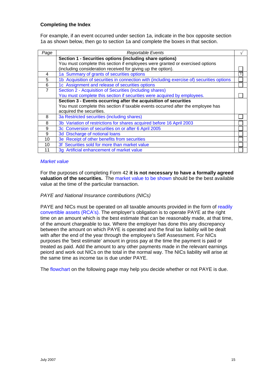# <span id="page-14-0"></span>**Completing the Index**

For example, if an event occurred under section 1a, indicate in the box opposite section 1a as shown below, then go to section 1a and complete the boxes in that section.

| Page | <b>Reportable Events</b>                                                                   |          |
|------|--------------------------------------------------------------------------------------------|----------|
|      | Section 1 - Securities options (including share options)                                   |          |
|      | You must complete this section if employees were granted or exercised options              |          |
|      | (including consideration received for giving up the option).                               |          |
| 4    | 1a Summary of grants of securities options                                                 | $\gamma$ |
| 5    | 1b Acquisition of securities in connection with (including exercise of) securities options |          |
| 6    | 1c Assignment and release of securities options                                            |          |
| 7    | Section 2 - Acquisition of Securities (including shares)                                   |          |
|      | You must complete this section if securities were acquired by employees.                   |          |
|      | Section 3 - Events occurring after the acquisition of securities                           |          |
|      | You must complete this section if taxable events occurred after the employee has           |          |
|      | acquired the securities.                                                                   |          |
| 8    | 3a Restricted securities (including shares)                                                |          |
| 8    | 3b Variation of restrictions for shares acquired before 16 April 2003                      |          |
| 9    | 3c Conversion of securities on or after 6 April 2005                                       |          |
| 9    | 3d Discharge of notional loans                                                             |          |
| 10   | 3e Receipt of other benefits from securities                                               |          |
| 10   | 3f Securities sold for more than market value                                              |          |
| 11   | 3g Artificial enhancement of market value                                                  |          |

#### *[Market value](#page-48-0)*

For the purposes of completing Form 42 **it is not necessary to have a formally agreed valuation of the securities.** The [market value to be shown](#page-48-0) should be the best available value at the time of the particular transaction.

#### *PAYE and National Insurance contributions (NICs)*

PAYE and NICs must be operated on all taxable amounts provided in the form of readily [convertible assets \(RCA's\).](#page-49-0) The employer's obligation is to operate PAYE at the right time on an amount which is the best estimate that can be reasonably made, at that time, of the amount chargeable to tax. Where the employer has done this any discrepancy between the amount on which PAYE is operated and the final tax liability will be dealt with after the end of the year through the employee's Self Assessment. For NICs purposes the 'best estimate' amount in gross pay at the time the payment is paid or treated as paid. Add the amount to any other payments made in the relevant earnings peiord and work out NICs on the total in the normal way. The NICs liability will arise at the same time as income tax is due under PAYE.

The [flowchart](#page-15-0) on the following page may help you decide whether or not PAYE is due.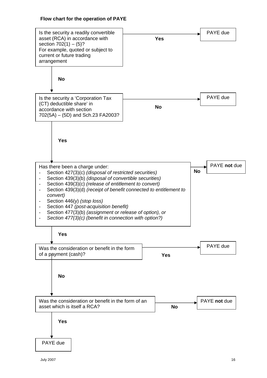# **Flow chart for the operation of PAYE**

<span id="page-15-0"></span>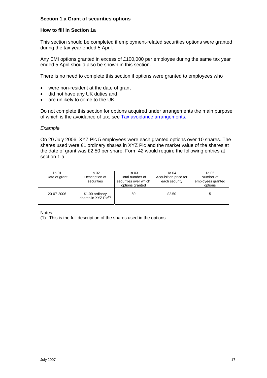# <span id="page-16-0"></span>**Section 1.a Grant of securities options**

#### **How to fill in Section 1a**

This section should be completed if employment-related securities options were granted during the tax year ended 5 April.

Any EMI options granted in excess of £100,000 per employee during the same tax year ended 5 April should also be shown in this section.

There is no need to complete this section if options were granted to employees who

- were non-resident at the date of grant
- did not have any UK duties and
- are unlikely to come to the UK.

Do not complete this section for options acquired under arrangements the main purpose of which is the avoidance of tax, see [Tax avoidance arrangements.](#page-13-0)

#### *Example*

On 20 July 2006, XYZ Plc 5 employees were each granted options over 10 shares. The shares used were £1 ordinary shares in XYZ Plc and the market value of the shares at the date of grant was £2.50 per share. Form 42 would require the following entries at section 1.a.

| 1a.01<br>Date of grant | 1a.02<br>Description of<br>securities              | 1a.03<br>Total number of<br>securities over which<br>options granted | 1a.04<br>Acquisition price for<br>each security | 1a.05<br>Number of<br>employees granted<br>options |
|------------------------|----------------------------------------------------|----------------------------------------------------------------------|-------------------------------------------------|----------------------------------------------------|
| 20-07-2006             | £1.00 ordinary<br>shares in XYZ Plc <sup>(1)</sup> | 50                                                                   | £2.50                                           |                                                    |

Notes

(1) This is the full description of the shares used in the options.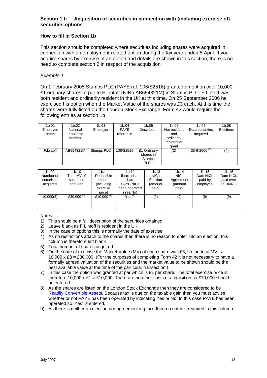# <span id="page-17-0"></span>**Section 1.b Acquisition of securities in connection with (including exercise of) securities options**

# **How to fill in Section 1b**

This section should be completed where securities including shares were acquired in connection with an employment-related option during the tax year ended 5 April. If you acquire shares by exercise of an option and details are shown in this section, there is no need to complete section 2 in respect of the acquisition.

# *Example 1*

On 1 February 2005 Stumps PLC (PAYE ref. 106/S2516) granted an option over 10,000 £1 ordinary shares at par to F.Lintoff (NINo.AB654321M) in Stumps PLC. F.Lintoff was both resident and ordinarily resident in the UK at this time. On 25 September 2006 he exercised his option when the Market Value of the shares was £3 each. At this time the shares were fully listed on the London Stock Exchange. Form 42 would require the following entries at section 1b

| 1 <sub>b.01</sub><br>Employee<br>name | 1b.02<br>National<br>Insurance<br>number | 1b.03<br>Employer | 1 <sub>b.04</sub><br><b>PAYE</b><br>reference | 1b.05<br>Description                                     | 1b.06<br>Not resident<br>and<br>ordinarily<br>resident at<br>grant | 1b.07<br>Date securities<br>acquired           | 1b.08<br>Elections |
|---------------------------------------|------------------------------------------|-------------------|-----------------------------------------------|----------------------------------------------------------|--------------------------------------------------------------------|------------------------------------------------|--------------------|
| F.Lintoff                             | AB654321M                                | Stumps PLC        | 106/S2516                                     | £1 Ordinary<br>shares in<br><b>Stumps</b><br>$PLC^{(1)}$ | (2)                                                                | 25-9-2006 <sup><math>\frac{37}{3}</math></sup> | (4)                |

| 1 <sub>b.09</sub><br>Number of<br>securities<br>acquired | 1 <sub>b.10</sub><br>Total MV of<br>securities<br>acquired | 1 <sub>b.11</sub><br>Deductible<br>amounts<br>(including<br>exercise<br>price) | 1 <sub>b.12</sub><br>If tax arises<br>has<br><b>PAYE/NICs</b><br>been operated<br>(Yes/No) | 1b.13<br><b>NICs</b><br>Election<br>(amount<br>paid) | 1 <sub>b.14</sub><br><b>NICs</b><br>Agreement<br>(amount<br>paid) | 1b.15<br>Date NICs<br>paid by<br>employee | 1 <sub>b.16</sub><br>Date NICs<br>paid over<br>to HMRC |
|----------------------------------------------------------|------------------------------------------------------------|--------------------------------------------------------------------------------|--------------------------------------------------------------------------------------------|------------------------------------------------------|-------------------------------------------------------------------|-------------------------------------------|--------------------------------------------------------|
| 10,000(5)                                                | £30,000 <sup>(6)</sup>                                     | £10.000 <sup>(1)</sup>                                                         | $Yes^{(8)}$                                                                                | (9)                                                  | (9)                                                               | (9)                                       | (9)                                                    |

- 1) This should be a full description of the securities obtained
- 2) Leave blank as F Lintoff is resident in the UK
- 3) In the case of options this is normally the date of exercise
- 4) As no restrictions attach to the shares then there is no reason to enter into an election, this column is therefore left blank
- 5) Total number of shares acquired
- 6) On the date of exercise the Market Value (MV) of each share was £3, so the total MV is 10,000 x  $\text{\pounds}3 = \text{\pounds}30,000$ . (For the purposes of completing Form 42 it is not necessary to have a formally agreed valuation of the securities and the market value to be shown should be the best available value at the time of the particular transaction.)
- 7) In this case the option was granted at par which is £1 per share. The total exercise price is therefore 10,000 x £1 = £10,000. There are no other costs of acquisition so £10,000 should be entered.
- 8) As the shares are listed on the London Stock Exchange then they are considered to be [Readily Convertible Assets.](#page-49-0) Because tax is due on the taxable gain then you must advise whether or not PAYE has been operated by indicating Yes or No. In this case PAYE has been operated so 'Yes' is entered.
- 9) As there is neither an election nor agreement in place then no entry is required in this column.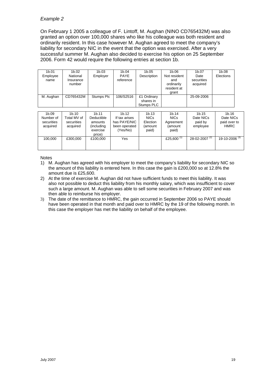On February 1 2005 a colleague of F. Lintoff, M. Aughan (NINO CD765432M) was also granted an option over 100,000 shares who like his colleague was both resident and ordinarily resident. In this case however M. Aughan agreed to meet the company's liability for secondary NIC in the event that the option was exercised. After a very successful summer M. Aughan also decided to exercise his option on 25 September 2006. Form 42 would require the following entries at section 1b.

| 1b.01<br>Employee<br>name | 1b.02<br>National<br>Insurance<br>number | 1b.03<br>Employer | 1b.04<br><b>PAYE</b><br>reference | 1b.05<br>Description                   | 1b.06<br>Not resident<br>and<br>ordinarily<br>resident at<br>grant | 1b.07<br>Date<br>securities<br>acquired | 1b.08<br>Elections |
|---------------------------|------------------------------------------|-------------------|-----------------------------------|----------------------------------------|--------------------------------------------------------------------|-----------------------------------------|--------------------|
| M. Aughan                 | CD765432M                                | Stumps Plc        | 106/S2516                         | £1 Ordinary<br>shares in<br>Stumps PLC |                                                                    | 25-09-2006                              |                    |
| 1b.09                     | 1 <sub>b.10</sub>                        | 1b.11             | 1b.12                             | 1b.13                                  | 1b.14                                                              | 1b.15                                   | 1b.16              |

| 1 <sub>b.09</sub> | 1 <sub>b.10</sub> | 1 <sub>b.11</sub> | 1 <sub>b.12</sub> | 1b.13       | 1 <sub>b.14</sub> | 1b.15                     | 1 <sub>b.16</sub>         |
|-------------------|-------------------|-------------------|-------------------|-------------|-------------------|---------------------------|---------------------------|
| Number of         | Total MV of       | Deductible        | If tax arises     | <b>NICs</b> | <b>NICs</b>       | Date NICs                 | Date NICs                 |
| securities        | securities        | amounts           | has PAYE/NIC      | Election    | Agreement         | paid by                   | paid over to              |
| acquired          | acquired          | (including        | been operated     | (amount     | (amount           | employee                  | <b>HMRC</b>               |
|                   |                   | exercise          | (Yes/No)          | paid)       | paid)             |                           |                           |
|                   |                   | price)            |                   |             |                   |                           |                           |
| 100.000           | £300,000          | £100,000          | Yes               |             | £25,600 $(1)$     | 28-02-2007 <sup>(2)</sup> | 19-10-2006 <sup>(3)</sup> |
|                   |                   |                   |                   |             |                   |                           |                           |
|                   |                   |                   |                   |             |                   |                           |                           |

- 1) M. Aughan has agreed with his employer to meet the company's liability for secondary NIC so the amount of this liability is entered here. In this case the gain is £200,000 so at 12.8% the amount due is £25,600.
- 2) At the time of exercise M. Aughan did not have sufficient funds to meet this liability. It was also not possible to deduct this liability from his monthly salary, which was insufficient to cover such a large amount. M. Aughan was able to sell some securities in February 2007 and was then able to reimburse his employer.
- 3) The date of the remittance to HMRC, the gain occurred in September 2006 so PAYE should have been operated in that month and paid over to HMRC by the 19 of the following month. In this case the employer has met the liability on behalf of the employee.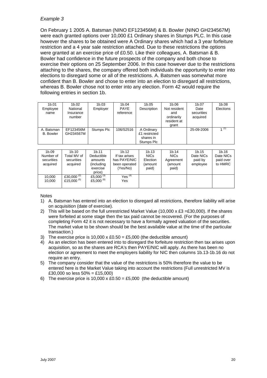On February 1 2005 A. Batsman (NINO EF123456M) & B. Bowler (NINO GH234567M) were each granted options over 10,000 £1 Ordinary shares in Stumps PLC. In this case however the shares to be obtained were A Ordinary shares which had a 3 year forfeiture restriction and a 4 year sale restriction attached. Due to these restrictions the options were granted at an exercise price of £0.50. Like their colleagues, A. Batsman & B. Bowler had confidence in the future prospects of the company and both chose to exercise their options on 25 September 2006. In this case however due to the restrictions attaching to the shares, the company offered both individuals the opportunity to enter into elections to disregard some or all of the restrictions. A. Batsmen was somewhat more confident than B. Bowler and chose to enter into an election to disregard all restrictions, whereas B. Bowler chose not to enter into any election. Form 42 would require the following entries in section 1b.

| 1b.01<br>Employee<br>name      | 1b.02<br>National<br>Insurance<br>number | 1b.03<br>Employer | 1b.04<br><b>PAYE</b><br>reference | 1b.05<br>Description                                   | 1b.06<br>Not resident<br>and<br>ordinarily<br>resident at<br>grant | 1b.07<br>Date<br>securities<br>acquired | 1 <sub>b.08</sub><br>Elections |
|--------------------------------|------------------------------------------|-------------------|-----------------------------------|--------------------------------------------------------|--------------------------------------------------------------------|-----------------------------------------|--------------------------------|
| A. Batsman<br><b>B.</b> Bowler | EF123456M<br>GH234567M                   | Stumps Plc        | 106/S2516                         | A Ordinary<br>£1 restricted<br>shares in<br>Stumps Plc |                                                                    | 25-09-2006                              | (1)                            |

| 1b.09<br>Number of<br>securities<br>acquired | 1b.10<br>Total MV of<br>securities<br>acquired | 1 <sub>b.11</sub><br>Deductible<br>amounts<br>(including<br>exercise<br>price) | 1b.12<br>If tax arises<br>has PAYE/NIC<br>been operated<br>(Yes/No) | 1b.13<br><b>NICs</b><br>Election<br>(amount<br>paid) | 1 <sub>b.14</sub><br><b>NICs</b><br>Agreement<br>(amount<br>paid) | 1b.15<br>Date NICs<br>paid by<br>employee | 1b.16<br>Date NICs<br>paid over<br>to HMRC |
|----------------------------------------------|------------------------------------------------|--------------------------------------------------------------------------------|---------------------------------------------------------------------|------------------------------------------------------|-------------------------------------------------------------------|-------------------------------------------|--------------------------------------------|
| 10,000<br>10.000                             | £30,000 $^{(2)}$<br>£15,000 <sup>(5)</sup>     | £5,000 $(3)$<br>£5,000 $(6)$                                                   | Yes $(4)$<br>Yes                                                    |                                                      |                                                                   |                                           |                                            |

- 1) A. Batsman has entered into an election to disregard all restrictions, therefore liability will arise on acquisition (date of exercise).
- 2) This will be based on the full unrestricted Market Value (10,000  $\times$  £3 = £30,000). If the shares were forfeited at some stage then the tax paid cannot be recovered. (For the purposes of completing Form 42 it is not necessary to have a formally agreed valuation of the securities. The market value to be shown should be the best available value at the time of the particular transaction.)
- 3) The exercise price is 10,000 x  $£0.50 = £5,000$  (the deductible amount)
- 4) As an election has been entered into to disregard the forfeiture restriction then tax arises upon acquisition, so as the shares are RCA's then PAYE/NIC will apply. As there has been no election or agreement to meet the employers liability for NIC then columns 1b.13-1b.16 do not require an entry.
- 5) The company consider that the value of the restrictions is 50% therefore the value to be entered here is the Market Value taking into account the restrictions (Full unrestricted MV is £30,000 so less 50% = £15,000)
- 6) The exercise price is 10,000 x £0.50 = £5,000 (the deductible amount)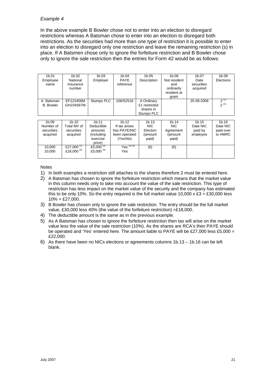In the above example B Bowler chose not to enter into an election to disregard restrictions whereas A Batsman chose to enter into an election to disregard both restrictions. As the securities had more than one type of restriction it is possible to enter into an election to disregard only one restriction and leave the remaining restriction (s) in place. If A Batsmen chose only to ignore the forfeiture restriction and B Bowler chose only to ignore the sale restriction then the entries for Form 42 would be as follows:

| 1b.01             | 1b.02             | 1b.03             | 1b.04                 | 1b.05         | 1b.06        | 1b.07      | 1b.08     |
|-------------------|-------------------|-------------------|-----------------------|---------------|--------------|------------|-----------|
| Employee          | National          | Employer          | <b>PAYE</b>           | Description   | Not resident | Date       | Elections |
| name              | Insurance         |                   | reference             |               | and          | securities |           |
|                   | number            |                   |                       |               | ordinarily   | acquired   |           |
|                   |                   |                   |                       |               | resident at  |            |           |
|                   |                   |                   |                       |               | grant        |            |           |
| A. Batsman        | EF123456M         | Stumps PLC        | 106/S2516             | A Ordinary    |              | 25-09-2006 | $2^{(1)}$ |
| <b>B.</b> Bowler  | GH234567M         |                   |                       | £1 restricted |              |            | $2^{(1)}$ |
|                   |                   |                   |                       | shares in     |              |            |           |
|                   |                   |                   |                       | Stumps PLC    |              |            |           |
|                   |                   |                   |                       |               |              |            |           |
| 1 <sub>b.09</sub> | 1 <sub>b.10</sub> | 1 <sub>b.11</sub> | 1 <sub>b.12</sub>     | 1b.13         | 1b.14        | 1b.15      | 1b.16     |
| Number of         | Total MV of       | Deductible        | If tax arises         | <b>NIC</b>    | NIC.         | Date NIC   | Date NIC  |
| securities        | securities        | amounts           | has PAYE/NIC          | Election      | Agreement    | paid by    | paid over |
| acquired          | acquired          | (including        | been operated         | (amount       | (amount      | employee   | to HMRC   |
|                   |                   | exercise          | (Yes/No)              | paid)         | paid)        |            |           |
|                   |                   | price)            |                       |               |              |            |           |
| 10,000            | £27,000 $^{(2)}$  | £5,000 $^{(4)}$   | Yes <sup>(5)(6)</sup> | (6)           | (6)          |            |           |
| 10.000            | £18,000 $^{(3)}$  | £5,000 $(4)$      | Yes                   |               |              |            |           |
|                   |                   |                   |                       |               |              |            |           |

- 1) In both examples a restriction still attaches to the shares therefore 2 must be entered here.
- 2) A Batsman has chosen to ignore the forfeiture restriction which means that the market value in this column needs only to take into account the value of the sale restriction. This type of restriction has less impact on the market value of the security and the company has estimated this to be only 10%. So the entry required is the full market value  $10,000 \times \text{\pounds}3 = \text{\pounds}30,000$  less  $10\% = \pounds27,000.$
- 3) B Bowler has chosen only to ignore the sale restriction. The entry should be the full market value, £30,000 less 40% (the value of the forfeiture restriction) =£18,000.
- 4) The deductible amount is the same as in the previous example.
- 5) As A Batsman has chosen to ignore the forfeiture restriction then tax will arise on the market value less the value of the sale restriction (10%). As the shares are RCA's then PAYE should be operated and 'Yes' entered here. The amount liable to PAYE will be £27,000 less £5,000 = £22,000.
- 6) As there have been no NICs elections or agreements columns 1b.13 1b.16 can be left blank.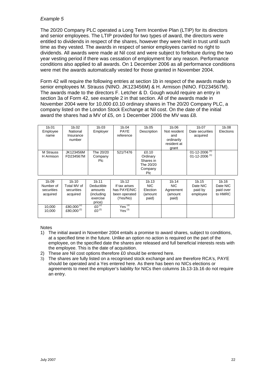The 20/20 Company PLC operated a Long Term Incentive Plan (LTIP) for its directors and senior employees. The LTIP provided for two types of award, the directors were entitled to dividends in respect of the shares, however they were held in trust until such time as they vested. The awards in respect of senior employees carried no right to dividends. All awards were made at Nil cost and were subject to forfeiture during the two year vesting period if there was cessation of employment for any reason. Performance conditions also applied to all awards. On 1 December 2006 as all performance conditions were met the awards automatically vested for those granted in November 2004.

Form 42 will require the following entries at section 1b in respect of the awards made to senior employees M. Strauss (NINO. JK123456M) & H. Armison (NINO. FD234567M). The awards made to the directors F. Letcher & D. Gough would require an entry in section 3a of Form 42, see example 2 in that section. All of the awards made in November 2004 were for 10,000 £0.10 ordinary shares in The 20/20 Company PLC, a company listed on the London Stock Exchange at Nil cost. On the date of the initial award the shares had a MV of £5, on 1 December 2006 the MV was £8.

| 1 <sub>b.01</sub>      | 1b.02                           | 1b.03                       | 1b.04                    | 1b.05                                                          | 1b.06                                                     | 1b.07                                                  | 1b.08     |
|------------------------|---------------------------------|-----------------------------|--------------------------|----------------------------------------------------------------|-----------------------------------------------------------|--------------------------------------------------------|-----------|
| Employee<br>name       | National<br>Insurance<br>number | Employer                    | <b>PAYE</b><br>reference | Description                                                    | Not resident<br>and<br>ordinarily<br>resident at<br>grant | Date securities<br>acquired                            | Elections |
| M Strauss<br>H Armison | JK123456M<br>FD234567M          | The 20/20<br>Company<br>Plc | 521/T476                 | £0.10<br>Ordinary<br>Shares in<br>The 20/20<br>Company<br>Plc. |                                                           | 01-12-2006 <sup>(1)</sup><br>01-12-2006 <sup>(1)</sup> |           |

| 1 <sub>b.09</sub><br>Number of<br>securities<br>acquired | 1 <sub>b.10</sub><br>Total MV of<br>securities<br>acquired | 1 <sub>b.11</sub><br>Deductible<br>amounts<br>(including<br>exercise<br>price) | 1 <sub>b.12</sub><br>If tax arises<br>has PAYE/NIC<br>been operated<br>(Yes/No) | 1b.13<br><b>NIC</b><br>Election<br>(amount<br>paid) | 1 <sub>b.14</sub><br>NIC.<br>Agreement<br>(amount<br>paid) | 1b.15<br>Date NIC<br>paid by<br>employee | 1b.16<br>Date NIC<br>paid over<br>to HMRC |
|----------------------------------------------------------|------------------------------------------------------------|--------------------------------------------------------------------------------|---------------------------------------------------------------------------------|-----------------------------------------------------|------------------------------------------------------------|------------------------------------------|-------------------------------------------|
| 10.000<br>10.000                                         | £80,000 $(2)$<br>£80,000 $(2)$                             | $f(1)^{(2)}$<br>$f(0^{(2)}$                                                    | Yes $^{(3)}$<br>Yes $^{(3)}$                                                    |                                                     |                                                            |                                          |                                           |

- 1) The initial award in November 2004 entails a promise to award shares, subject to conditions, at a specified time in the future. Unlike an option no action is required on the part of the employee, on the specified date the shares are released and full beneficial interests rests with the employee. This is the date of acquisition.
- 2) These are Nil cost options therefore £0 should be entered here.
- 3) The shares are fully listed on a recognised stock exchange and are therefore RCA's, PAYE should be operated and a Yes entered here. As there has been no NICs elections or agreements to meet the employer's liability for NICs then columns 1b.13-1b.16 do not require an entry.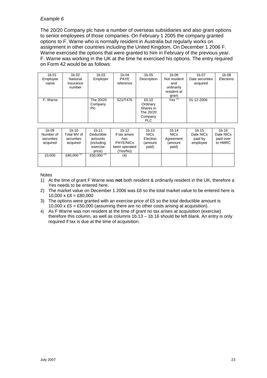The 20/20 Company plc have a number of overseas subsidiaries and also grant options to senior employees of those companies. On February 1 2005 the company granted options to F. Warne who is normally resident in Australia but regularly works on assignment in other countries including the United Kingdom. On December 1 2006 F. Warne exercised the options that were granted to him in February of the previous year. F. Warne was working in the UK at the time he exercised his options. The entry required on Form 42 would be as follows:

| 1 <sub>b.01</sub><br>Employee<br>name | 1b.02<br>National<br>Insurance<br>number | 1b.03<br>Employer           | 1b.04<br><b>PAYE</b><br>reference | 1b.05<br>Description                                                 | 1b.06<br>Not resident<br>and<br>ordinarily<br>resident at | 1b.07<br>Date securities<br>acquired | 1b.08<br>Elections |
|---------------------------------------|------------------------------------------|-----------------------------|-----------------------------------|----------------------------------------------------------------------|-----------------------------------------------------------|--------------------------------------|--------------------|
| F. Warne                              |                                          | The 20/20<br>Company<br>Plc | 521/T476                          | £0.10<br>Ordinary<br>Shares in<br>The 20/20<br>Company<br><b>PLC</b> | grant<br>$Yes$ <sup>(1)</sup>                             | 01-12-2006                           |                    |

| 1 <sub>b.09</sub><br>Number of<br>securities<br>acquired | 1 <sub>b.10</sub><br>Total MV of<br>securities<br>acquired | 1 <sub>b.11</sub><br>Deductible<br>amounts<br>(including<br>exercise<br>price) | 1 <sub>b.12</sub><br>If tax arises<br>has<br><b>PAYE/NICs</b><br>been operated<br>(Yes/No) | 1b.13<br><b>NICs</b><br>Election<br>(amount<br>paid) | 1 <sub>b.14</sub><br><b>NICs</b><br>Agreement<br>(amount<br>paid) | 1 <sub>b.15</sub><br>Date NICs<br>paid by<br>employee | 1b.16<br>Date NICs<br>paid over<br>to HMRC |
|----------------------------------------------------------|------------------------------------------------------------|--------------------------------------------------------------------------------|--------------------------------------------------------------------------------------------|------------------------------------------------------|-------------------------------------------------------------------|-------------------------------------------------------|--------------------------------------------|
| 10.000                                                   | £80,000 $(2)$                                              | £50,000 $^{(3)}$                                                               | (4)                                                                                        |                                                      |                                                                   |                                                       |                                            |

- 1) At the time of grant F Warne was **not** both resident & ordinarily resident in the UK, therefore a Yes needs to be entered here.
- 2) The market value on December 1 2006 was £8 so the total market value to be entered here is  $10,000 \times \text{£8} = \text{£80,000}$
- 3) The options were granted with an exercise price of £5 so the total deductible amount is 10,000 x £5 = £50,000 (assuming there are no other costs arising at acquisition).
- 4) As F Warne was non resident at the time of grant no tax arises at acquisition (exercise) therefore this column, as well as columns 1b.13 – 1b.16 should be left blank. An entry is only required if tax is due at the time of acquisition.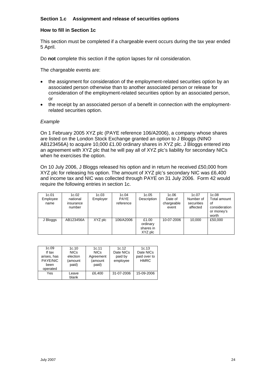# <span id="page-23-0"></span>**Section 1.c Assignment and release of securities options**

#### **How to fill in Section 1c**

This section must be completed if a chargeable event occurs during the tax year ended 5 April.

Do **not** complete this section if the option lapses for nil consideration.

The chargeable events are:

- the assignment for consideration of the employment-related securities option by an associated person otherwise than to another associated person or release for consideration of the employment-related securities option by an associated person, or
- the receipt by an associated person of a benefit in connection with the employmentrelated securities option.

#### *Example*

On 1 February 2005 XYZ plc (PAYE reference 106/A2006), a company whose shares are listed on the London Stock Exchange granted an option to J Bloggs (NINO AB123456A) to acquire 10,000 £1.00 ordinary shares in XYZ plc. J Bloggs entered into an agreement with XYZ plc that he will pay all of XYZ plc's liability for secondary NICs when he exercises the option.

On 10 July 2006, J Bloggs released his option and in return he received £50,000 from XYZ plc for releasing his option. The amount of XYZ plc's secondary NIC was £6,400 and income tax and NIC was collected through PAYE on 31 July 2006. Form 42 would require the following entries in section 1c.

| 1c.01<br>Employee<br>name | 1c.02<br>national<br>insurance<br>number | 1c.03<br>Employer | 1c.04<br><b>PAYE</b><br>reference | 1c.05<br>Description                      | 1c.06<br>Date of<br>chargeable<br>event | 1c.07<br>Number of<br>securities<br>affected | 1c.08<br>Total amount<br>οf<br>consideration<br>or money's<br>worth |
|---------------------------|------------------------------------------|-------------------|-----------------------------------|-------------------------------------------|-----------------------------------------|----------------------------------------------|---------------------------------------------------------------------|
| J Bloggs                  | AB123456A                                | XYZ plc           | 106/A2006                         | £1.00<br>ordinary<br>shares in<br>XYZ plc | 10-07-2006                              | 10.000                                       | £50,000                                                             |

| 1c.09<br>If tax<br>arises, has<br>PAYE/NIC<br>been | 1c.10<br><b>NICs</b><br>election<br>(amount<br>paid) | 1c.11<br><b>NICs</b><br>Agreement<br>(amount<br>paid) | 1c.12<br>Date NICs<br>paid by<br>employee | 1c.13<br>Date NICs<br>paid over to<br><b>HMRC</b> |
|----------------------------------------------------|------------------------------------------------------|-------------------------------------------------------|-------------------------------------------|---------------------------------------------------|
| operated                                           |                                                      |                                                       |                                           |                                                   |
| Yes                                                | Leave<br>blank                                       | £6.400                                                | 31-07-2006                                | 15-09-2006                                        |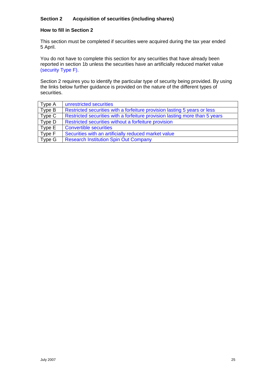# <span id="page-24-0"></span>**Section 2 Acquisition of securities (including shares)**

# **How to fill in Section 2**

This section must be completed if securities were acquired during the tax year ended 5 April.

You do not have to complete this section for any securities that have already been reported in section 1b unless the securities have an artificially reduced market value [\(security Type F\).](#page-34-0)

Section 2 requires you to identify the particular type of security being provided. By using the links below further guidance is provided on the nature of the different types of securities.

| Type A | unrestricted securities                                                     |
|--------|-----------------------------------------------------------------------------|
| Type B | Restricted securities with a forfeiture provision lasting 5 years or less   |
| Type C | Restricted securities with a forfeiture provision lasting more than 5 years |
| Type D | Restricted securities without a forfeiture provision                        |
| Type E | <b>Convertible securities</b>                                               |
| Type F | Securities with an artificially reduced market value                        |
| Type G | <b>Research Institution Spin Out Company</b>                                |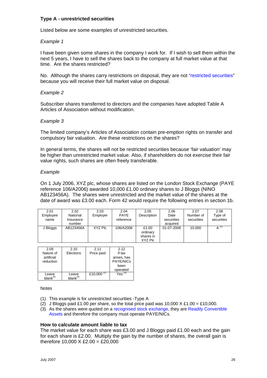# <span id="page-25-0"></span>**Type A - unrestricted securities**

Listed below are some examples of unrestricted securities.

## *Example 1*

I have been given some shares in the company I work for. If I wish to sell them within the next 5 years, I have to sell the shares back to the company at full market value at that time. Are the shares restricted?

No. Although the shares carry restrictions on disposal, they are not ["restricted securities](#page-50-0)" because you will receive their full market value on disposal.

## *Example 2*

Subscriber shares transferred to directors and the companies have adopted Table A Articles of Association without modification.

## *Example 3*

The limited company's Articles of Association contain pre-emption rights on transfer and compulsory fair valuation. Are these restrictions on the shares?

In general terms, the shares will not be restricted securities because 'fair valuation' may be higher than unrestricted market value. Also, if shareholders do not exercise their fair value rights, such shares are often freely transferable.

## *Example*

On 1 July 2006, XYZ plc, whose shares are listed on the London Stock Exchange (PAYE reference 106/A2006) awarded 10,000 £1.00 ordinary shares to J Bloggs (NINO AB123456A). The shares were unrestricted and the market value of the shares at the date of award was £3.00 each. Form 42 would require the following entries in section 1b.

| 2.01<br>Employee<br>name | 2.02<br>National<br>Insurance<br>number | 2.03<br>Employer | 2.04<br><b>PAYE</b><br>reference | 2.05<br>Description                       | 2.06<br>Date<br>securities<br>acquired | 2.07<br>Number of<br>securities | 2.08<br>Type of<br>securities |
|--------------------------|-----------------------------------------|------------------|----------------------------------|-------------------------------------------|----------------------------------------|---------------------------------|-------------------------------|
| J Bloggs                 | AB123456A                               | XYZ Plc          | 106/A2006                        | £1.00<br>ordinary<br>shares in<br>XYZ Plc | 01-07-2006                             | 10.000                          | $A$ <sup>(1)</sup>            |

| 2.09          | 2.10          | 2.11             | 2.12         |
|---------------|---------------|------------------|--------------|
| Nature of     | Elections     | Price paid       | If tax       |
| artificial    |               |                  | arises, has  |
| reduction     |               |                  | PAYE/NICs    |
|               |               |                  | been         |
|               |               |                  | operated     |
| Leave         | Leave         | £10,000 $^{(2)}$ | Yes $^{(3)}$ |
| $blank^{(5)}$ | $blank^{(5)}$ |                  |              |

#### **Notes**

- (1) This example is for unrestricted securities -Type A
- (2) J Bloggs paid £1.00 per share, so the total price paid was 10,000  $\times$  £1.00 = £10.000.
- (3) As the shares were quoted on a [recognised stock exchange,](#page-51-0) they are [Readily Convertible](#page-49-0)  [Assets](#page-49-0) and therefore the company must operate PAYE/NICs.

#### **How to calculate amount liable to tax**

The market value for each share was £3.00 and J Bloggs paid £1.00 each and the gain for each share is £2.00. Multiply the gain by the number of shares, the overall gain is therefore  $10,000 \times £2,00 = £20,000$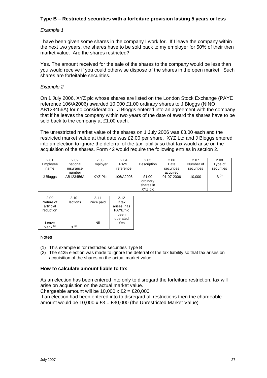# <span id="page-26-0"></span>**Type B – Restricted securities with a forfeiture provision lasting 5 years or less**

# *Example 1*

I have been given some shares in the company I work for. If I leave the company within the next two years, the shares have to be sold back to my employer for 50% of their then market value. Are the shares restricted?

Yes. The amount received for the sale of the shares to the company would be less than you would receive if you could otherwise dispose of the shares in the open market. Such shares are forfeitable securities.

## *Example 2*

On 1 July 2006, XYZ plc whose shares are listed on the London Stock Exchange (PAYE reference 106/A2006) awarded 10,000 £1.00 ordinary shares to J Bloggs (NINO AB123456A) for no consideration. J Bloggs entered into an agreement with the company that if he leaves the company within two years of the date of award the shares have to be sold back to the company at £1.00 each.

The unrestricted market value of the shares on 1 July 2006 was £3.00 each and the restricted market value at that date was £2.00 per share. XYZ Ltd and J Bloggs entered into an election to ignore the deferral of the tax liability so that tax would arise on the acquisition of the shares. Form 42 would require the following entries in section 2.

| 2.01     | 2.02      | 2.03     | 2.04        | 2.05        | 2.06       | 2.07       | 2.08       |
|----------|-----------|----------|-------------|-------------|------------|------------|------------|
| Employee | national  | Employer | <b>PAYE</b> | Description | Date       | Number of  | Type of    |
| name     | insurance |          | reference   |             | securities | securities | securities |
|          | number    |          |             |             | acquired   |            |            |
| J Bloggs | AB123456A | XYZ Plc  | 106/A2006   | £1.00       | 01-07-2006 | 10.000     | $B^{(1)}$  |
|          |           |          |             | ordinary    |            |            |            |
|          |           |          |             | shares in   |            |            |            |
|          |           |          |             | XYZ plc     |            |            |            |

| 2.09        | 2.10      | 2.11       | 2.12        |
|-------------|-----------|------------|-------------|
| Nature of   | Elections | Price paid | If tax      |
| artificial  |           |            | arises, has |
| reduction   |           |            | PAYE/nic    |
|             |           |            | been        |
|             |           |            | operated    |
| Leave       |           | Nil        | Yes         |
| blank $(3)$ | $3^{(2)}$ |            |             |

#### **Notes**

- (1) This example is for restricted securities Type B
- (2) The s425 election was made to ignore the deferral of the tax liability so that tax arises on acquisition of the shares on the actual market value.

#### **How to calculate amount liable to tax**

As an election has been entered into only to disregard the forfeiture restriction, tax will arise on acquisition on the actual market value.

Chargeable amount will be  $10,000 \times \text{E2} = \text{E20,000}$ .

If an election had been entered into to disregard all restrictions then the chargeable amount would be 10,000  $\times$  £3 = £30,000 (the Unrestricted Market Value)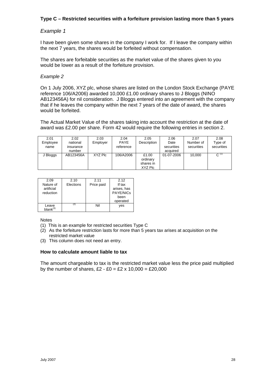# **Type C – Restricted securities with a forfeiture provision lasting more than 5 years**

# *Example 1*

I have been given some shares in the company I work for. If I leave the company within the next 7 years, the shares would be forfeited without compensation.

The shares are forfeitable securities as the market value of the shares given to you would be lower as a result of the forfeiture provision.

#### *Example 2*

On 1 July 2006, XYZ plc, whose shares are listed on the London Stock Exchange (PAYE reference 106/A2006) awarded 10,000 £1.00 ordinary shares to J Bloggs (NINO AB123456A) for nil consideration. J Bloggs entered into an agreement with the company that if he leaves the company within the next 7 years of the date of award, the shares would be forfeited.

The Actual Market Value of the shares taking into account the restriction at the date of award was £2.00 per share. Form 42 would require the following entries in section 2.

| 2.01     | 2.02      | 2.03     | 2.04        | 2.05        | 2.06       | 2.07       | 2.08       |
|----------|-----------|----------|-------------|-------------|------------|------------|------------|
| Employee | national  | Employer | <b>PAYE</b> | Description | Date       | Number of  | Type of    |
| name     | insurance |          | reference   |             | securities | securities | securities |
|          | number    |          |             |             | acquired   |            |            |
| J Bloggs | AB123456A | XYZ Plc  | 106/A2006   | £1.00       | 01-07-2006 | 10.000     | $C^{(1)}$  |
|          |           |          |             | ordinary    |            |            |            |
|          |           |          |             | shares in   |            |            |            |
|          |           |          |             | XYZ Plc     |            |            |            |

| 2.09          | 2.10      | 2.11       | 2.12        |
|---------------|-----------|------------|-------------|
| Nature of     | Elections | Price paid | If tax      |
| artificial    |           |            | arises, has |
| reduction     |           |            | PAYE/NICs   |
|               |           |            | been        |
|               |           |            | operated    |
| Leave         | [2]       | Nil        | yes         |
| $blank^{(3)}$ |           |            |             |

**Notes** 

- (1) This is an example for restricted securities Type C
- (2) As the forfeiture restriction lasts for more than 5 years tax arises at acquisition on the restricted market value
- (3) This column does not need an entry.

#### **How to calculate amount liable to tax**

The amount chargeable to tax is the restricted market value less the price paid multiplied by the number of shares,  $£2 - £0 = £2 \times 10,000 = £20,000$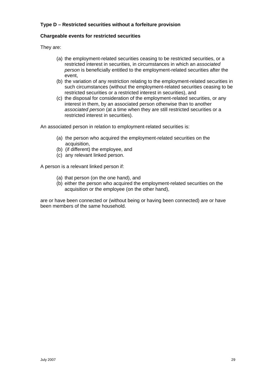# <span id="page-28-0"></span>**Type D – Restricted securities without a forfeiture provision**

# **Chargeable events for restricted securities**

They are:

- (a) the employment-related securities ceasing to be restricted securities, or a restricted interest in securities, in circumstances in which an *associated person* is beneficially entitled to the employment-related securities after the event,
- (b) the variation of any restriction relating to the employment-related securities in such circumstances (without the employment-related securities ceasing to be restricted securities or a restricted interest in securities), and
- (c) the disposal for consideration of the employment-related securities, or any interest in them, by an associated person otherwise than to another *associated person* (at a time when they are still restricted securities or a restricted interest in securities).

An associated person in relation to employment-related securities is:

- (a) the person who acquired the employment-related securities on the acquisition,
- (b) (if different) the employee, and
- (c) any relevant linked person.

A person is a relevant linked person if:

- (a) that person (on the one hand), and
- (b) either the person who acquired the employment-related securities on the acquisition or the employee (on the other hand),

are or have been connected or (without being or having been connected) are or have been members of the same household.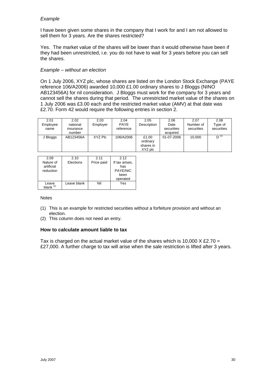I have been given some shares in the company that I work for and I am not allowed to sell them for 3 years. Are the shares restricted?

Yes. The market value of the shares will be lower than it would otherwise have been if they had been unrestricted, i.e. you do not have to wait for 3 years before you can sell the shares.

# *Example – without an election*

On 1 July 2006, XYZ plc, whose shares are listed on the London Stock Exchange (PAYE reference 106/A2006) awarded 10,000 £1.00 ordinary shares to J Bloggs (NINO AB123456A) for nil consideration. J Bloggs must work for the company for 3 years and cannot sell the shares during that period. The unrestricted market value of the shares on 1 July 2006 was £3.00 each and the restricted market value (AMV) at that date was £2.70. Form 42 would require the following entries in section 2.

| 2.01<br>Employee<br>name | 2.02<br>national<br>insurance | 2.03<br>Employer | 2.04<br><b>PAYE</b><br>reference | 2.05<br>Description | 2.06<br>Date<br>securities | 2.07<br>Number of<br>securities | 2.08<br>Type of<br>securities |
|--------------------------|-------------------------------|------------------|----------------------------------|---------------------|----------------------------|---------------------------------|-------------------------------|
|                          | number                        |                  |                                  |                     | acquired                   |                                 |                               |
| J Bloggs                 | AB123456A                     | XYZ Plc          | 106/A2006                        | £1.00               | 01-07-2006                 | 10,000                          | $D^{(1)}$                     |
|                          |                               |                  |                                  | ordinary            |                            |                                 |                               |
|                          |                               |                  |                                  | shares in           |                            |                                 |                               |
|                          |                               |                  |                                  | XYZ plc             |                            |                                 |                               |

| 2.09<br>Nature of<br>artificial<br>reduction | 2.10<br>Elections | 2.11<br>Price paid | 2.12<br>If tax arises,<br>has<br>PAYE/NIC<br>been<br>operated |
|----------------------------------------------|-------------------|--------------------|---------------------------------------------------------------|
| Leave<br>$blank^{(2)}$                       | Leave blank       | Nil                | Yes                                                           |

#### **Notes**

- (1) This is an example for restricted securities without a forfeiture provision and without an election.
- (2) This column does not need an entry.

# **How to calculate amount liable to tax**

Tax is charged on the actual market value of the shares which is 10,000 X £2.70 = £27,000. A further charge to tax will arise when the sale restriction is lifted after 3 years.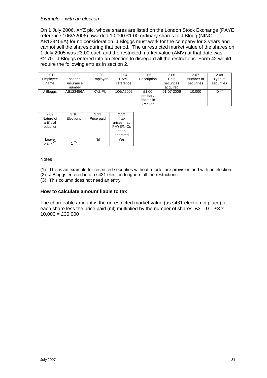#### *Example – with an election*

On 1 July 2006, XYZ plc, whose shares are listed on the London Stock Exchange (PAYE reference 106/A2006) awarded 10,000 £1.00 ordinary shares to J Blogg (NINO AB123456A) for no consideration. J Bloggs must work for the company for 3 years and cannot sell the shares during that period. The unrestricted market value of the shares on 1 July 2005 was £3.00 each and the restricted market value (AMV) at that date was £2.70. J Bloggs entered into an election to disregard all the restrictions. Form 42 would require the following entries in section 2.

| 2.01<br>Employee<br>name | 2.02<br>national<br>insurance<br>number | 2.03<br>Employer | 2.04<br><b>PAYE</b><br>reference | 2.05<br><b>Description</b>                | 2.06<br>Date<br>securities<br>acquired | 2.07<br>Number of<br>securities | 2.08<br>Type of<br>securities |
|--------------------------|-----------------------------------------|------------------|----------------------------------|-------------------------------------------|----------------------------------------|---------------------------------|-------------------------------|
| J Bloggs                 | AB123456A                               | XYZ Plc          | 106/A2006                        | £1.00<br>ordinary<br>shares in<br>XYZ Plc | 01-07-2006                             | 10.000                          | $D^{(1)}$                     |

| 2.09                    | 2.10      | 2.11       | 2.12                            |
|-------------------------|-----------|------------|---------------------------------|
| Nature of               | Elections | Price paid | If tax                          |
| artificial<br>reduction |           |            | arises, has<br><b>PAYE/NICs</b> |
|                         |           |            | been                            |
|                         |           |            | operated                        |
| Leave                   | (2)       | Nil        | Yes                             |
| blank $(3)$             |           |            |                                 |

#### Notes

- (1) This is an example for restricted securities without a forfeiture provision and with an election.
- (2) J Bloggs entered into a s431 election to ignore all the restrictions.
- (3) This column does not need an entry.

#### **How to calculate amount liable to tax**

The chargeable amount is the unrestricted market value (as s431 election in place) of each share less the price paid (nil) multiplied by the number of shares,  $£3 - 0 = £3 x$  $10,000 = £30,000$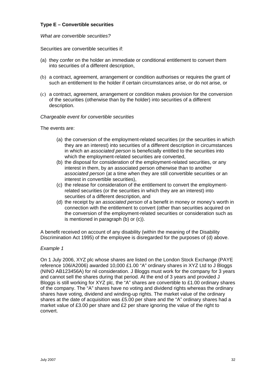# <span id="page-31-0"></span>**Type E – Convertible securities**

## *What are convertible securities?*

Securities are convertible securities if:

- (a) they confer on the holder an immediate or conditional entitlement to convert them into securities of a different description,
- (b) a contract, agreement, arrangement or condition authorises or requires the grant of such an entitlement to the holder if certain circumstances arise, or do not arise, or
- (c) a contract, agreement, arrangement or condition makes provision for the conversion of the securities (otherwise than by the holder) into securities of a different description.

## *Chargeable event for convertible securities*

The events are:

- (a) the conversion of the employment-related securities (or the securities in which they are an interest) into securities of a different description in circumstances in which an *associated person* is beneficially entitled to the securities into which the employment-related securities are converted,
- (b) the disposal for consideration of the employment-related securities, or any interest in them, by an associated person otherwise than to another *associated person* (at a time when they are still convertible securities or an interest in convertible securities),
- (c) the release for consideration of the entitlement to convert the employmentrelated securities (or the securities in which they are an interest) into securities of a different description, and
- (d) the receipt by an *associated person* of a benefit in money or money's worth in connection with the entitlement to convert (other than securities acquired on the conversion of the employment-related securities or consideration such as is mentioned in paragraph (b) or (c)).

A benefit received on account of any disability (within the meaning of the Disability Discrimination Act 1995) of the employee is disregarded for the purposes of (d) above.

#### *Example 1*

On 1 July 2006, XYZ plc whose shares are listed on the London Stock Exchange (PAYE reference 106/A2006) awarded 10,000 £1.00 "A" ordinary shares in XYZ Ltd to J Bloggs (NINO AB123456A) for nil consideration. J Bloggs must work for the company for 3 years and cannot sell the shares during that period. At the end of 3 years and provided J Bloggs is still working for XYZ plc, the "A" shares are convertible to £1.00 ordinary shares of the company. The "A" shares have no voting and dividend rights whereas the ordinary shares have voting, dividend and winding-up rights. The market value of the ordinary shares at the date of acquisition was £5.00 per share and the "A" ordinary shares had a market value of £3.00 per share and £2 per share ignoring the value of the right to convert.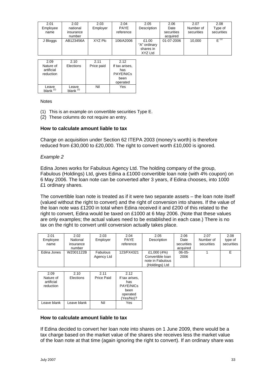| 2.01              | 2.02      | 2.03       | 2.04           | 2.05         | 2.06       | 2.07       | 2.08       |
|-------------------|-----------|------------|----------------|--------------|------------|------------|------------|
| Employee          | national  | Employer   | <b>PAYE</b>    | Description  | Date       | Number of  | Type of    |
| name              | insurance |            | reference      |              | securities | securities | securities |
|                   | number    |            |                |              | acquired   |            |            |
| J Bloggs          | AB123456A | XYZ Plc    | 106/A2006      | £1.00        | 01-07-2006 | 10,000     | $E^{(1)}$  |
|                   |           |            |                | "A" ordinary |            |            |            |
|                   |           |            |                | shares in    |            |            |            |
|                   |           |            |                | XYZ Ltd      |            |            |            |
|                   |           |            |                |              |            |            |            |
| 2.09              | 2.10      | 2.11       | 2.12           |              |            |            |            |
| Nature of         | Elections | Price paid | If tax arises, |              |            |            |            |
| artificial        |           |            | has            |              |            |            |            |
| المستحدث فالمتحدث |           |            | $DAYF/NIO-$    |              |            |            |            |

| reduction             |                               |     | PAYE/NICs |
|-----------------------|-------------------------------|-----|-----------|
|                       |                               |     | been      |
|                       |                               |     | operated  |
| Leave<br>blank<br>(2) | Leave<br>blank <sup>(2)</sup> | Nil | Yes       |
|                       |                               |     |           |

#### **Notes**

- (1) This is an example on convertible securities Type E.
- (2) These columns do not require an entry.

# **How to calculate amount liable to tax**

Charge on acquisition under Section 62 ITEPA 2003 (money's worth) is therefore reduced from £30,000 to £20,000. The right to convert worth £10,000 is ignored.

## *Example 2*

Edina Jones works for Fabulous Agency Ltd. The holding company of the group, Fabulous (Holdings) Ltd, gives Edina a £1000 convertible loan note (with 4% coupon) on 6 May 2006. The loan note can be converted after 3 years, if Edina chooses, into 1000 £1 ordinary shares.

The convertible loan note is treated as if it were two separate assets – the loan note itself (valued without the right to convert) and the right of conversion into shares. If the value of the loan note was £1200 in total when Edina received it and £200 of this related to the right to convert, Edina would be taxed on £1000 at 6 May 2006. (Note that these values are only examples; the actual values need to be established in each case.) There is no tax on the right to convert until conversion actually takes place.

| 2.01        | 2.02      | 2.03            | 2.04        | 2.05             | 2.06        | 2.07       | 2.08       |
|-------------|-----------|-----------------|-------------|------------------|-------------|------------|------------|
| Employee    | National  | Employer        | <b>PAYE</b> | Description      | Date        | Number of  | type of    |
| name        | insurance |                 | reference   |                  | securities  | securities | securities |
|             | number    |                 |             |                  | acquired    |            |            |
| Edina Jones | WZ001122B | <b>Fabulous</b> | 123/FX4321  | £1,000 (4%)      | $06 - 05 -$ |            |            |
|             |           | Agency Ltd      |             | Convertible loan | 2006        |            |            |
|             |           |                 |             | note in Fabulous |             |            |            |
|             |           |                 |             | (Holdings) Ltd   |             |            |            |

| 2.09        | 2.10        | 2.11       | 2.12           |
|-------------|-------------|------------|----------------|
| Nature of   | Elections   | Price Paid | If tax arises, |
| artificial  |             |            | has            |
| reduction   |             |            | PAYE/NICs      |
|             |             |            | been           |
|             |             |            | operated       |
|             |             |            | (Yes/No)?      |
| Leave blank | Leave blank | Nil        | Yes            |
|             |             |            |                |

#### **How to calculate amount liable to tax**

If Edina decided to convert her loan note into shares on 1 June 2009, there would be a tax charge based on the market value of the shares she receives less the market value of the loan note at that time (again ignoring the right to convert). If an ordinary share was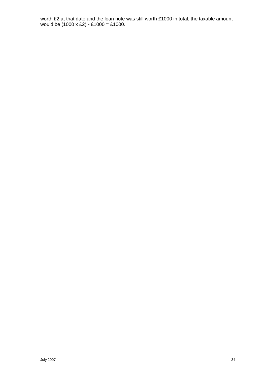worth £2 at that date and the loan note was still worth £1000 in total, the taxable amount would be (1000 x £2) - £1000 = £1000.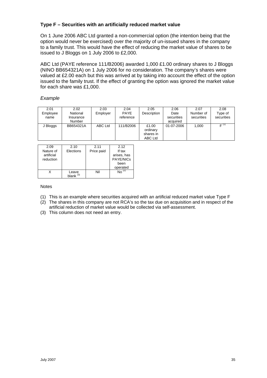# <span id="page-34-0"></span>**Type F – Securities with an artificially reduced market value**

On 1 June 2006 ABC Ltd granted a non-commercial option (the intention being that the option would never be exercised) over the majority of un-issued shares in the company to a family trust. This would have the effect of reducing the market value of shares to be issued to J Bloggs on 1 July 2006 to £2,000.

ABC Ltd (PAYE reference 111/B2006) awarded 1,000 £1.00 ordinary shares to J Bloggs (NINO BB654321A) on 1 July 2006 for no consideration. The company's shares were valued at £2.00 each but this was arrived at by taking into account the effect of the option issued to the family trust. If the effect of granting the option was ignored the market value for each share was £1,000.

# *Example*

| 2.01     | 2.02      | 2.03     | 2.04        | 2.05        | 2.06       | 2.07       | 2.08       |
|----------|-----------|----------|-------------|-------------|------------|------------|------------|
| Employee | National  | Employer | <b>PAYE</b> | Description | Date       | Number of  | Type of    |
| name     | Insurance |          | reference   |             | securities | securities | securities |
|          | Number    |          |             |             | acquired   |            |            |
| J Bloggs | BB654321A | ABC Ltd  | 111/B2006   | £1.00       | 01-07-2006 | 1,000      | $E^{(1)}$  |
|          |           |          |             | ordinary    |            |            |            |
|          |           |          |             | shares in   |            |            |            |
|          |           |          |             | ABC Ltd     |            |            |            |

| 2.09       | 2.10                 | 2.11       | 2.12        |
|------------|----------------------|------------|-------------|
| Nature of  | Elections            | Price paid | If tax      |
| artificial |                      |            | arises, has |
| reduction  |                      |            | PAYE/NICs   |
|            |                      |            | been        |
|            |                      |            | operated    |
|            | Leave<br>blank $(3)$ | Nil        |             |

- (1) This is an example where securities acquired with an artificial reduced market value Type F
- (2) The shares in this company are not RCA's so the tax due on acquisition and in respect of the artificial reduction of market value would be collected via self-assessment.
- (3) This column does not need an entry.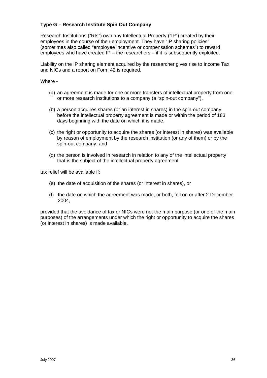# <span id="page-35-0"></span>**Type G – Research Institute Spin Out Company**

Research Institutions ("RIs") own any Intellectual Property ("IP") created by their employees in the course of their employment. They have "IP sharing policies" (sometimes also called "employee incentive or compensation schemes") to reward employees who have created IP – the researchers – if it is subsequently exploited.

Liability on the IP sharing element acquired by the researcher gives rise to Income Tax and NICs and a report on Form 42 is required.

Where -

- (a) an agreement is made for one or more transfers of intellectual property from one or more research institutions to a company (a "spin-out company"),
- (b) a person acquires shares (or an interest in shares) in the spin-out company before the intellectual property agreement is made or within the period of 183 days beginning with the date on which it is made,
- (c) the right or opportunity to acquire the shares (or interest in shares) was available by reason of employment by the research institution (or any of them) or by the spin-out company, and
- (d) the person is involved in research in relation to any of the intellectual property that is the subject of the intellectual property agreement

tax relief will be available if:

- (e) the date of acquisition of the shares (or interest in shares), or
- (f) the date on which the agreement was made, or both, fell on or after 2 December 2004,

provided that the avoidance of tax or NICs were not the main purpose (or one of the main purposes) of the arrangements under which the right or opportunity to acquire the shares (or interest in shares) is made available.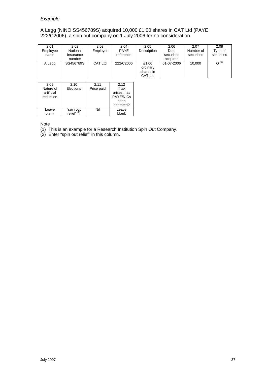#### A Legg (NINO SS456789S) acquired 10,000 £1.00 shares in CAT Ltd (PAYE 222/C2006), a spin out company on 1 July 2006 for no consideration.

| 2.01<br>Employee | 2.02<br>National    | 2.03<br>Employer | 2.04<br><b>PAYE</b> | 2.05<br>Description                              | 2.06<br>Date           | 2.07<br>Number of | 2.08<br>Type of |
|------------------|---------------------|------------------|---------------------|--------------------------------------------------|------------------------|-------------------|-----------------|
| name             | Insurance<br>number |                  | reference           |                                                  | securities<br>acquired | securities        | securities      |
| A Legg           | SS456789S           | CAT Ltd          | 222/C2006           | £1.00<br>ordinary<br>shares in<br><b>CAT Ltd</b> | 01-07-2006             | 10.000            | G <sup>(1</sup> |

| 2.09       | 2.10                                | 2.11       | 2.12        |
|------------|-------------------------------------|------------|-------------|
| Nature of  | Elections                           | Price paid | If tax      |
| artificial |                                     |            | arises, has |
| reduction  |                                     |            | PAYE/NICs   |
|            |                                     |            | been        |
|            |                                     |            | operated?   |
| Leave      |                                     | Nil        | Leave       |
| blank      | "spin out<br>relief" <sup>(2)</sup> |            | blank       |

Note

(1) This is an example for a Research Institution Spin Out Company.

(2) Enter "spin out relief" in this column.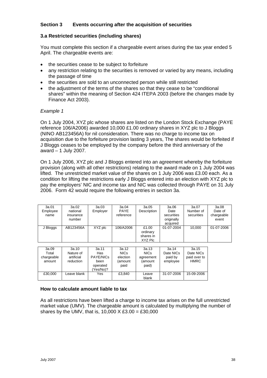# <span id="page-37-0"></span>**Section 3 Events occurring after the acquisition of securities**

# **3.a Restricted securities (including shares)**

You must complete this section if a chargeable event arises during the tax year ended 5 April. The chargeable events are:

- the securities cease to be subject to forfeiture
- any restriction relating to the securities is removed or varied by any means, including the passage of time
- the securities are sold to an unconnected person while still restricted
- the adjustment of the terms of the shares so that they cease to be "conditional shares" within the meaning of Section 424 ITEPA 2003 (before the changes made by Finance Act 2003).

## *Example 1*

On 1 July 2004, XYZ plc whose shares are listed on the London Stock Exchange (PAYE reference 106/A2006) awarded 10,000 £1.00 ordinary shares in XYZ plc to J Bloggs (NINO AB123456A) for nil consideration. There was no charge to income tax on acquisition due to the forfeiture provision lasting 3 years, The shares would be forfeited if J Bloggs ceases to be employed by the company before the third anniversary of the award – 1 July 2007.

On 1 July 2006, XYZ plc and J Bloggs entered into an agreement whereby the forfeiture provision (along with all other restrictions) relating to the award made on 1 July 2004 was lifted. The unrestricted market value of the shares on 1 July 2006 was £3.00 each. As a condition for lifting the restrictions early J Bloggs entered into an election with XYZ plc to pay the employers' NIC and income tax and NIC was collected through PAYE on 31 July 2006. Form 42 would require the following entries in section 3a.

| 3a.01      | 3a.02       | 3a.03            | 3a.04            | 3a.05       | 3a.06      | 3a.07        | 3a.08      |
|------------|-------------|------------------|------------------|-------------|------------|--------------|------------|
| Employee   | national    | Employer         | <b>PAYE</b>      | Description | Date       | Number of    | Date of    |
| name       | insurance   |                  | reference        |             | securities | securities   | chargeable |
|            | number      |                  |                  |             | originally |              | event      |
|            |             |                  |                  |             | acquired   |              |            |
| J Bloggs   | AB123456A   | XYZ plc          | 106/A2006        | £1.00       | 01-07-2004 | 10.000       | 01-07-2006 |
|            |             |                  |                  | ordinary    |            |              |            |
|            |             |                  |                  | shares in   |            |              |            |
|            |             |                  |                  | XYZ Plc     |            |              |            |
|            |             |                  |                  |             |            |              |            |
| 3a.09      | 3a.10       | 3a.11            | 3a.12            | 3a.13       | 3a.14      | 3a.15        |            |
| Total      | Nature of   | Has              | NIC <sub>s</sub> | <b>NICs</b> | Date NICs  | Date NICs    |            |
| chargeable | artificial  | <b>PAYE/NICs</b> | election         | agreement   | paid by    | paid over to |            |
| amount     | reduction   | been             | (amount          | amount)     | employee   | <b>HMRC</b>  |            |
|            |             | operated         | paid             | paid)       |            |              |            |
|            |             | (Yes/No)?        |                  |             |            |              |            |
| £30,000    | Leave blank | Yes              | £3,840           | Leave       | 31-07-2006 | 15-09-2006   |            |
|            |             |                  |                  | blank       |            |              |            |

# **How to calculate amount liable to tax**

As all restrictions have been lifted a charge to income tax arises on the full unrestricted market value (UMV). The chargeable amount is calculated by multiplying the number of shares by the UMV, that is, 10,000  $X \, \text{E}3.00 = \text{E}30,000$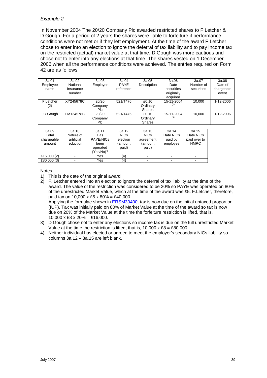In November 2004 The 20/20 Company Plc awarded restricted shares to F Letcher & D Gough. For a period of 2 years the shares were liable to forfeiture if performance conditions were not met or if they left employment. At the time of the award F Letcher chose to enter into an election to ignore the deferral of tax liability and to pay income tax on the restricted (actual) market value at that time. D Gough was more cautious and chose not to enter into any elections at that time. The shares vested on 1 December 2006 when all the performance conditions were achieved. The entries required on Form 42 are as follows:

| 3a.01<br>Employee<br>name | 3a.02<br>National<br>Insurance<br>number | 3a.03<br>Employer              | 3a.04<br><b>PAYE</b><br>reference | 3a.05<br>Description               | 3a.06<br>Date<br>securities<br>originally<br>acquired | 3a.07<br>Number of<br>securities | 3a.08<br>Date of<br>chargeable<br>event |
|---------------------------|------------------------------------------|--------------------------------|-----------------------------------|------------------------------------|-------------------------------------------------------|----------------------------------|-----------------------------------------|
| F Letcher<br>(2)          | XY245678C                                | 20/20<br>Company<br>Plc.       | 521/T476                          | £0.10<br>Ordinary<br><b>Shares</b> | 15-11-2004<br>(1)                                     | 10.000                           | 1-12-2006                               |
| JD Gough                  | LM124578B                                | 20/20<br>Company<br><b>PIc</b> | 521/T476                          | £0.10<br>Ordinary<br><b>Shares</b> | 15-11-2004<br>(1)                                     | 10,000                           | 1-12-2006                               |

| 3a.09<br>Total<br>chargeable<br>amount | 3a.10<br>Nature of<br>artificial<br>reduction | 3a.11<br>Has<br><b>PAYE/NICs</b><br>been<br>operated<br>Yes/No)? | 3a.12<br><b>NICs</b><br>election<br>(amount<br>paid) | 3a.13<br><b>NICs</b><br>agreement<br>(amount<br>paid) | 3a.14<br>Date NICs<br>paid by<br>employee | 3a.15<br>Date NICs<br>paid over to<br><b>HMRC</b> |
|----------------------------------------|-----------------------------------------------|------------------------------------------------------------------|------------------------------------------------------|-------------------------------------------------------|-------------------------------------------|---------------------------------------------------|
| £16,000 $(2)$                          | -                                             | Yes                                                              | (4)                                                  |                                                       | $\,$                                      |                                                   |
| £80,000 (3)                            |                                               | Yes                                                              |                                                      |                                                       |                                           |                                                   |

Notes

4) Neither individual has elected or agreed to meet the employer's secondary NICs liability so columns 3a.12 – 3a.15 are left blank.

<sup>1)</sup> This is the date of the original award

<sup>2)</sup> F. Letcher entered into an election to ignore the deferral of tax liability at the time of the award. The value of the restriction was considered to be 20% so PAYE was operated on 80% of the unrestricted Market Value, which at the time of the award was £5. F.Letcher, therefore, paid tax on 10,000 x £5 x 80% = £40,000. Applying the formulae shown in **ERSM30400**, tax is now due on the initial untaxed proportion (IUP). Tax was initially paid on 80% of Market Value at the time of the award so tax is now due on 20% of the Market Value at the time the forfeiture restriction is lifted, that is,  $10,000 \times \text{\pounds}8 \times 20\% = \text{\pounds}16,000.$ 

<sup>3)</sup> D Gough chose not to enter any elections so income tax is due on the full unrestricted Market Value at the time the restriction is lifted, that is,  $10,000 \times £8 = £80,000$ .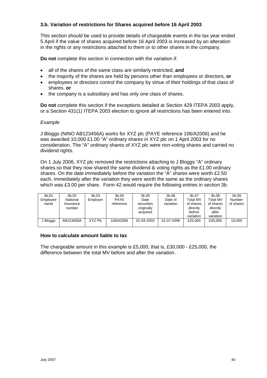# <span id="page-39-0"></span>**3.b. Variation of restrictions for Shares acquired before 16 April 2003**

This section should be used to provide details of chargeable events in the tax year ended 5 April if the value of shares acquired before 16 April 2003 is increased by an alteration in the rights or any restrictions attached to them or to other shares in the company.

**Do not** complete this section in connection with the variation if:

- all of the shares of the same class are similarly restricted, **and**
- the majority of the shares are held by persons other than employees or directors, **or**
- employees or directors control the company by virtue of their holdings of that class of shares, **or**
- the company is a subsidiary and has only one class of shares.

**Do not** complete this section if the exceptions detailed at Section 429 ITEPA 2003 apply, or a Section 431(1) ITEPA 2003 election to ignore all restrictions has been entered into.

## *Example*

J Bloggs (NINO AB123456A) works for XYZ plc (PAYE reference 106/A2006) and he was awarded 10,000 £1.00 "A" ordinary shares in XYZ plc on 1 April 2003 for no consideration. The "A" ordinary shares of XYZ plc were non-voting shares and carried no dividend rights.

On 1 July 2006, XYZ plc removed the restrictions attaching to J Bloggs "A" ordinary shares.so that they now shared the same dividend & voting rights as the £1.00 ordinary shares. On the date immediately before the variation the "A" shares were worth £2.50 each, immediately after the variation they were worth the same as the ordinary shares which was £3.00 per share. Form 42 would require the following entries in section 3b.

| 3b.01<br>Employee<br>name | 3b.02<br>National<br>Insurance<br>number | 3b.03<br>Employer | 3b.04<br><b>PAYE</b><br>reference | 3b.05<br>Date<br>securities<br>originally<br>acquired | 3b.06<br>Date of<br>variation | 3b.07<br><b>Total MV</b><br>of shares<br>directly<br>before<br>variation | 3b.08<br><b>Total MV</b><br>of shares<br>directly<br>after<br>variation | 3b.09<br>Number<br>of shares |
|---------------------------|------------------------------------------|-------------------|-----------------------------------|-------------------------------------------------------|-------------------------------|--------------------------------------------------------------------------|-------------------------------------------------------------------------|------------------------------|
| J Bloggs                  | AB123456A                                | XYZ Plc           | 106/A2006                         | 01-04-2003                                            | 01-07-2006                    | £25,000                                                                  | £30,000                                                                 | 10.000                       |

#### **How to calculate amount liable to tax**

The chargeable amount in this example is £5,000, that is, £30,000 - £25,000, the difference between the total MV before and after the variation.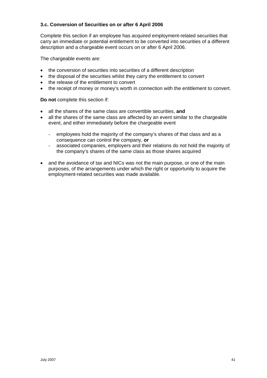# <span id="page-40-0"></span>**3.c. Conversion of Securities on or after 6 April 2006**

Complete this section if an employee has acquired employment-related securities that carry an immediate or potential entitlement to be converted into securities of a different description and a chargeable event occurs on or after 6 April 2006.

The chargeable events are:

- the conversion of securities into securities of a different description
- the disposal of the securities whilst they carry the entitlement to convert
- the release of the entitlement to convert
- the receipt of money or money's worth in connection with the entitlement to convert.

**Do not** complete this section if:

- all the shares of the same class are convertible securities, **and**
- all the shares of the same class are affected by an event similar to the chargeable event, and either immediately before the chargeable event
	- employees hold the majority of the company's shares of that class and as a consequence can control the company, **or**
	- associated companies, employers and their relations do not hold the majority of the company's shares of the same class as those shares acquired
- and the avoidance of tax and NICs was not the main purpose, or one of the main purposes, of the arrangements under which the right or opportunity to acquire the employment-related securities was made available.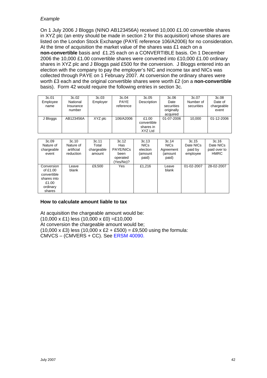On 1 July 2006 J Bloggs (NINO AB123456A) received 10,000 £1.00 convertible shares in XYZ plc (an entry should be made in section 2 for this acquisition) whose shares are listed on the London Stock Exchange (PAYE reference 106/A2006) for no consideration. At the time of acquisition the market value of the shares was £1 each on a **non-convertible** basis and £1.25 each on a CONVERTIBLE basis. On 1 December 2006 the 10,000 £1.00 convertible shares were converted into £10,000 £1.00 ordinary shares in XYZ plc and J Bloggs paid £500 for the conversion. J Bloggs entered into an election with the company to pay the employer's NIC and income tax and NICs was collected through PAYE on 1 February 2007. At conversion the ordinary shares were worth £3 each and the original convertible shares were worth £2 (on a **non-convertible** basis). Form 42 would require the following entries in section 3c.

| 3c.01<br>Employee<br>name | 3c.02<br>National<br>Insurance<br>number | 3c.03<br>Employer | 3c.04<br><b>PAYE</b><br>reference | 3c.05<br>Description                         | 3c.06<br>Date<br>securities<br>originally<br>acquired | 3c.07<br>Number of<br>securities | 3c.08<br>Date of<br>chargeable<br>event |
|---------------------------|------------------------------------------|-------------------|-----------------------------------|----------------------------------------------|-------------------------------------------------------|----------------------------------|-----------------------------------------|
| J Bloggs                  | AB123456A                                | XYZ plc           | 106/A2006                         | £1.00<br>convertible<br>shares in<br>XYZ Ltd | 01-07-2006                                            | 10.000                           | 01-12-2006                              |

| 3c.09<br>Nature of<br>chargeable<br>event                                           | 3c.10<br>Nature of<br>artificial<br>reduction | 3c.11<br>Total<br>chargeable<br>amount | 3c.12<br><b>Has</b><br><b>PAYE/NICs</b><br>been<br>operated<br>Yes/No)? | 3c.13<br><b>NICs</b><br>election<br>(amount<br>paid) | 3c.14<br><b>NICs</b><br>Agreement<br>(amount<br>paid) | 3c.15<br>Date NICs<br>paid by<br>employee | 3c.16<br>Date NICs<br>paid over to<br><b>HMRC</b> |
|-------------------------------------------------------------------------------------|-----------------------------------------------|----------------------------------------|-------------------------------------------------------------------------|------------------------------------------------------|-------------------------------------------------------|-------------------------------------------|---------------------------------------------------|
| Conversion<br>of £1.00<br>convertible<br>shares into<br>£1.00<br>ordinary<br>shares | Leave<br>blank                                | £9,500                                 | Yes                                                                     | £1,216                                               | Leave<br>blank                                        | 01-02-2007                                | 28-02-2007                                        |

# **How to calculate amount liable to tax**

At acquisition the chargeable amount would be:  $(10,000 \times \text{\pounds}1)$  less  $(10,000 \times \text{\pounds}0) = \text{\pounds}10,000$ At conversion the chargeable amount would be;  $(10,000 \times \text{\pounds}3)$  less  $(10,000 \times \text{\pounds}2 + \text{\pounds}500) = \text{\pounds}9,500$  using the formula: CMVCS – (CMVERS + CC). See [ERSM 40090.](http://www.hmrc.gov.uk/manuals/ersmmanual/ERSM40090.htm)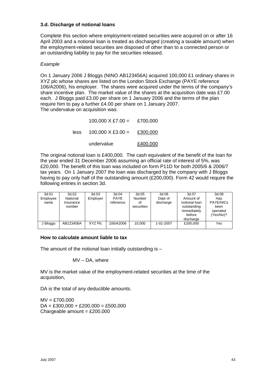# <span id="page-42-0"></span>**3.d. Discharge of notional loans**

Complete this section where employment-related securities were acquired on or after 16 April 2003 and a notional loan is treated as discharged (creating a taxable amount) when the employment-related securities are disposed of other than to a connected person or an outstanding liability to pay for the securities released.

## *Example*

On 1 January 2006 J Bloggs (NINO AB123456A) acquired 100,000 £1 ordinary shares in XYZ plc whose shares are listed on the London Stock Exchange (PAYE reference 106/A2006), his employer. The shares were acquired under the terms of the company's share incentive plan. The market value of the shares at the acquisition date was £7.00 each. J Bloggs paid £3.00 per share on 1 January 2006 and the terms of the plan require him to pay a further £4.00 per share on 1 January 2007. The undervalue on acquisition was:

> $100,000 \times \text{\pounds}7.00 = \text{\pounds}700,000$  $less$  100,000 X £3,00 = £300,000 undervalue £400,000

The original notional loan is £400,000. The cash equivalent of the benefit of the loan for the year ended 31 December 2006 assuming an official rate of interest of 5%, was £20,000. The benefit of this loan was included on form P11D for both 2005/6 & 2006/7 tax years. On 1 January 2007 the loan was discharged by the company with J Bloggs having to pay only half of the outstanding amount (£200,000). Form 42 would require the following entries in section 3d.

| 3d.01<br>Employee<br>name | 3d.02<br>National<br>Insurance<br>number | 3d.03<br>Employer | 3d.04<br><b>PAYE</b><br>reference | 3d.05<br>Number<br>οf<br>securities | 3d.06<br>Date of<br>discharge | 3d.07<br>Amount of<br>notional loan<br>outstanding<br>immediately<br>before<br>discharge | 3d.08<br>Has<br>PAYE/NICs<br>been<br>operated<br>(Yes/No)? |
|---------------------------|------------------------------------------|-------------------|-----------------------------------|-------------------------------------|-------------------------------|------------------------------------------------------------------------------------------|------------------------------------------------------------|
| J Bloggs                  | AB123456A                                | XYZ Plc           | 106/A2006                         | 10.000                              | 1-01-2007                     | £200,000                                                                                 | Yes                                                        |

#### **How to calculate amount liable to tax**

The amount of the notional loan initially outstanding is  $-$ 

#### MV – DA, where

MV is the market value of the employment-related securities at the time of the acquisition,

DA is the total of any deductible amounts.

 $MV = £700,000$  $DA = £300,000 + £200,000 = £500,000$ Chargeable amount =  $£200,000$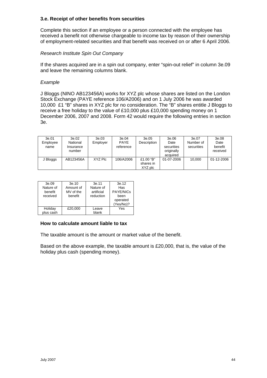# <span id="page-43-0"></span>**3.e. Receipt of other benefits from securities**

Complete this section if an employee or a person connected with the employee has received a benefit not otherwise chargeable to income tax by reason of their ownership of employment-related securities and that benefit was received on or after 6 April 2006.

# *Research Institute Spin Out Company*

If the shares acquired are in a spin out company, enter "spin-out relief" in column 3e.09 and leave the remaining columns blank.

#### *Example*

J Bloggs (NINO AB123456A) works for XYZ plc whose shares are listed on the London Stock Exchange (PAYE reference 106/A2006) and on 1 July 2006 he was awarded 10,000 £1 "B" shares in XYZ plc for no consideration. The "B" shares entitle J Bloggs to receive a free holiday to the value of £10,000 plus £10,000 spending money on 1 December 2006, 2007 and 2008. Form 42 would require the following entries in section 3e.

| 3e.01<br>Employee<br>name | 3e.02<br>National<br>Insurance<br>number | 3e.03<br>Employer | 3e.04<br><b>PAYE</b><br>reference | 3e.05<br><b>Description</b>       | 3e.06<br>Date<br>securities<br>originally<br>acquired | 3e.07<br>Number of<br>securities | 3e.08<br>Date<br>benefit<br>received |
|---------------------------|------------------------------------------|-------------------|-----------------------------------|-----------------------------------|-------------------------------------------------------|----------------------------------|--------------------------------------|
| J Bloggs                  | AB123456A                                | XYZ Plc           | 106/A2006                         | £1.00 "B"<br>shares in<br>XYZ plc | 01-07-2006                                            | 10.000                           | 01-12-2006                           |

| 3e.09                | 3e.10                  | 3e.11                   | 3e.12                 |
|----------------------|------------------------|-------------------------|-----------------------|
| Nature of<br>benefit | Amount of<br>MV of the | Nature of<br>artificial | Has<br>PAYE/NICs      |
| received             | benefit                | reduction               | been                  |
|                      |                        |                         | operated<br>(Yes/No)? |
| Holiday<br>plus cash | £20,000                | Leave<br>blank          | Yes                   |

#### **How to calculate amount liable to tax**

The taxable amount is the amount or market value of the benefit.

Based on the above example, the taxable amount is £20,000, that is, the value of the holiday plus cash (spending money).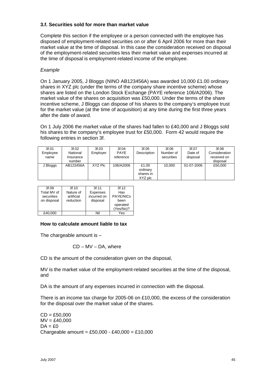# <span id="page-44-0"></span>**3.f. Securities sold for more than market value**

Complete this section if the employee or a person connected with the employee has disposed of employment-related securities on or after 6 April 2006 for more than their market value at the time of disposal. In this case the consideration received on disposal of the employment-related securities less their market value and expenses incurred at the time of disposal is employment-related income of the employee.

# *Example*

On 1 January 2005, J Bloggs (NINO AB123456A) was awarded 10,000 £1.00 ordinary shares in XYZ plc (under the terms of the company share incentive scheme) whose shares are listed on the London Stock Exchange (PAYE reference 106/A2006). The market value of the shares on acquisition was £50,000. Under the terms of the share incentive scheme, J Bloggs can dispose of his shares to the company's employee trust for the market value (at the time of acquisition) at any time during the first three years after the date of award.

On 1 July 2006 the market value of the shares had fallen to £40,000 and J Bloggs sold his shares to the company's employee trust for £50,000. Form 42 would require the following entries in section 3f.

| 3f.01<br>Employee<br>name | 3f.02<br>National<br>Insurance<br>number | 3f.03<br>Employer | 3f.04<br><b>PAYE</b><br>reference | 3f.05<br><b>Description</b>               | 3f.06<br>Number of<br>securities | 3f.07<br>Date of<br>disposal | 3f.08<br>Consideration<br>received on<br>disposal |
|---------------------------|------------------------------------------|-------------------|-----------------------------------|-------------------------------------------|----------------------------------|------------------------------|---------------------------------------------------|
| J Bloggs                  | AB123456A                                | XYZ Plc           | 106/A2006                         | £1.00<br>ordinary<br>shares in<br>XYZ plc | 10.000                           | 01-07-2006                   | £50,000                                           |

| 3f.09       | 3f.10      | 3f.11       | 3f.12     |
|-------------|------------|-------------|-----------|
| Total MV of | Nature of  | Expenses    | Has       |
| securities  | artificial | incurred on | PAYE/NICs |
| on disposal | reduction  | disposal    | been      |
|             |            |             | operated  |
|             |            |             | (Yes/No)? |
| £40,000     |            | Nil         | Yes       |

# **How to calculate amount liable to tax**

The chargeable amount is –

$$
CD - MV - DA
$$
, where

CD is the amount of the consideration given on the disposal,

MV is the market value of the employment-related securities at the time of the disposal, and

DA is the amount of any expenses incurred in connection with the disposal.

There is an income tax charge for 2005-06 on £10,000, the excess of the consideration for the disposal over the market value of the shares.

 $CD = £50,000$  $MV = £40,000$  $DA = f.0$ Chargeable amount = £50,000 - £40,000 = £10,000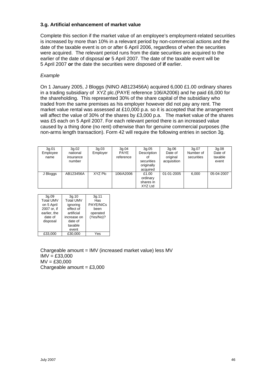# <span id="page-45-0"></span>**3.g. Artificial enhancement of market value**

Complete this section if the market value of an employee's employment-related securities is increased by more than 10% in a relevant period by non-commercial actions and the date of the taxable event is on or after 6 April 2006, regardless of when the securities were acquired. The relevant period runs from the date securities are acquired to the earlier of the date of disposal **or** 5 April 2007. The date of the taxable event will be 5 April 2007 **or** the date the securities were disposed of **if** earlier.

# *Example*

On 1 January 2005, J Bloggs (NINO AB123456A) acquired 6,000 £1.00 ordinary shares in a trading subsidiary of XYZ plc.(PAYE reference 106/A2006) and he paid £6,000 for the shareholding. This represented 30% of the share capital of the subsidiary who traded from the same premises as his employer however did not pay any rent. The market value rental was assessed at £10,000 p.a. so it is accepted that the arrangement will affect the value of 30% of the shares by £3,000 p.a. The market value of the shares was £5 each on 5 April 2007. For each relevant period there is an increased value caused by a thing done (no rent) otherwise than for genuine commercial purposes (the non-arms length transaction). Form 42 will require the following entries in section 3g.

| 3g.01<br>Employee<br>name | 3g.02<br>national<br>insurance<br>number | 3q.03<br>Employer | 3g.04<br><b>PAYE</b><br>reference | 3q.05<br>Description<br>Οt<br>securities<br>originally<br>acquired | 3q.06<br>Date of<br>original<br>acquisition | 3g.07<br>Number of<br>securities | 3g.08<br>Date of<br>taxable<br>event |
|---------------------------|------------------------------------------|-------------------|-----------------------------------|--------------------------------------------------------------------|---------------------------------------------|----------------------------------|--------------------------------------|
| J Bloggs                  | AB123456A                                | XYZ Plc           | 106/A2006                         | £1.00<br>ordinary<br>shares in<br>XYZ Ltd                          | 01-01-2005                                  | 6.000                            | 05-04-2007                           |

| 3q.09            | 3q.10            | 3g.11            |
|------------------|------------------|------------------|
| <b>Total UMV</b> | <b>Total UMV</b> | Has              |
| on 5 April       | ignoring         | <b>PAYE/NICs</b> |
| 2007 or. if      | effect of        | been             |
| earlier, the     | artificial       | operated         |
| date of          | increase on      | (Yes/No)?        |
| disposal         | date of          |                  |
|                  | taxable          |                  |
|                  | event            |                  |
| £33.000          | £30.000          | 'es              |

Chargeable amount = IMV (increased market value) less MV  $IMV = £33,000$  $MV = £30,000$ Chargeable amount =  $£3,000$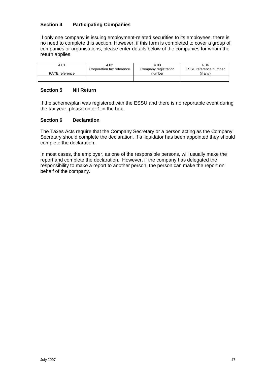# <span id="page-46-0"></span>**Section 4 Participating Companies**

If only one company is issuing employment-related securities to its employees, there is no need to complete this section. However, if this form is completed to cover a group of companies or organisations, please enter details below of the companies for whom the return applies.

| 4.01                  | 4.02                      | 4.03                 | 4.04                  |
|-----------------------|---------------------------|----------------------|-----------------------|
|                       | Corporation tax reference | Company registration | ESSU reference number |
| <b>PAYE</b> reference |                           | number               | (if anv)              |
|                       |                           |                      |                       |

# **Section 5 Nil Return**

If the scheme/plan was registered with the ESSU and there is no reportable event during the tax year, please enter 1 in the box.

# **Section 6 Declaration**

The Taxes Acts require that the Company Secretary or a person acting as the Company Secretary should complete the declaration. If a liquidator has been appointed they should complete the declaration.

In most cases, the employer, as one of the responsible persons, will usually make the report and complete the declaration. However, if the company has delegated the responsibility to make a report to another person, the person can make the report on behalf of the company.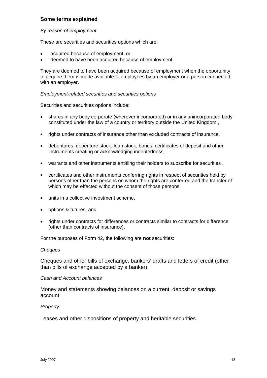# <span id="page-47-0"></span>**Some terms explained**

#### *By reason of employment*

These are securities and securities options which are:

- acquired because of employment, or
- deemed to have been acquired because of employment.

They are deemed to have been acquired because of employment when the opportunity to acquire them is made available to employees by an employer or a person connected with an employer.

#### *Employment-related securities and securities options*

Securities and securities options include:

- shares in any body corporate (wherever incorporated) or in any unincorporated body constituted under the law of a country or territory outside the United Kingdom ,
- rights under contracts of insurance other than excluded contracts of insurance,
- debentures, debenture stock, loan stock, bonds, certificates of deposit and other instruments creating or acknowledging indebtedness,
- warrants and other instruments entitling their holders to subscribe for securities ,
- certificates and other instruments conferring rights in respect of securities held by persons other than the persons on whom the rights are conferred and the transfer of which may be effected without the consent of those persons,
- units in a collective investment scheme.
- options & futures, and
- rights under contracts for differences or contracts similar to contracts for difference (other than contracts of insurance).

For the purposes of Form 42, the following are **not** securities:

#### *Cheques*

Cheques and other bills of exchange, bankers' drafts and letters of credit (other than bills of exchange accepted by a banker).

#### *Cash and Account balances*

Money and statements showing balances on a current, deposit or savings account.

#### *Property*

Leases and other dispositions of property and heritable securities.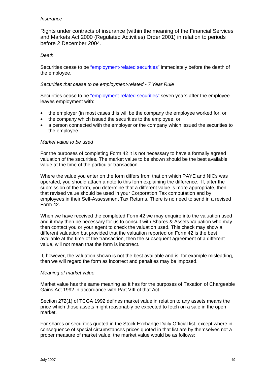#### <span id="page-48-0"></span>*Insurance*

Rights under contracts of insurance (within the meaning of the Financial Services and Markets Act 2000 (Regulated Activities) Order 2001) in relation to periods before 2 December 2004.

# *Death*

Securities cease to be ["employment-related securities"](#page-47-0) immediately before the death of the employee.

#### *Securities that cease to be employment-related - 7 Year Rule*

Securities cease to be ["employment-related securities"](#page-47-0) seven years after the employee leaves employment with:

- the employer (in most cases this will be the company the employee worked for, or
- the company which issued the securities to the employee, or
- a person connected with the employer or the company which issued the securities to the employee.

# *Market value to be used*

For the purposes of completing Form 42 it is not necessary to have a formally agreed valuation of the securities. The market value to be shown should be the best available value at the time of the particular transaction.

Where the value you enter on the form differs from that on which PAYE and NICs was operated, you should attach a note to this form explaining the difference. If, after the submission of the form, you determine that a different value is more appropriate, then that revised value should be used in your Corporation Tax computation and by employees in their Self-Assessment Tax Returns. There is no need to send in a revised Form 42.

When we have received the completed Form 42 we may enquire into the valuation used and it may then be necessary for us to consult with Shares & Assets Valuation who may then contact you or your agent to check the valuation used. This check may show a different valuation but provided that the valuation reported on Form 42 is the best available at the time of the transaction, then the subsequent agreement of a different value, will not mean that the form is incorrect.

If, however, the valuation shown is not the best available and is, for example misleading, then we will regard the form as incorrect and penalties may be imposed.

#### *Meaning of market value*

Market value has the same meaning as it has for the purposes of Taxation of Chargeable Gains Act 1992 in accordance with Part VIII of that Act.

Section 272(1) of TCGA 1992 defines market value in relation to any assets means the price which those assets might reasonably be expected to fetch on a sale in the open market.

For shares or securities quoted in the Stock Exchange Daily Official list, except where in consequence of special circumstances prices quoted in that list are by themselves not a proper measure of market value, the market value would be as follows: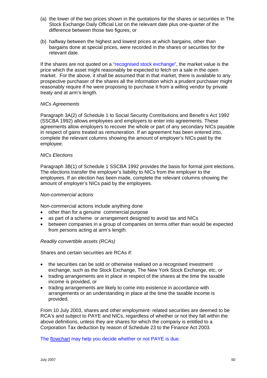- <span id="page-49-0"></span>(a) the lower of the two prices shown in the quotations for the shares or securities in The Stock Exchange Daily Official List on the relevant date plus one-quarter of the difference between those two figures, or
- (b) halfway between the highest and lowest prices at which bargains, other than bargains done at special prices, were recorded in the shares or securities for the relevant date.

If the shares are not quoted on a ["recognised stock exchange",](#page-51-0) the market value is the price which the asset might reasonably be expected to fetch on a sale in the open market. For the above, it shall be assumed that in that market, there is available to any prospective purchaser of the shares all the information which a prudent purchaser might reasonably require if he were proposing to purchase it from a willing vendor by private treaty and at arm's length.

## *NICs Agreements*

Paragraph 3A(2) of Schedule 1 to Social Security Contributions and Benefit s Act 1992 (SSCBA 1992) allows employees and employers to enter into agreements. These agreements allow employers to recover the whole or part of any secondary NICs payable in respect of gains treated as remuneration. If an agreement has been entered into, complete the relevant columns showing the amount of employer's NICs paid by the employee.

## *NICs Elections*

Paragraph 3B(1) of Schedule 1 SSCBA 1992 provides the basis for formal joint elections. The elections transfer the employer's liability to NICs from the employer to the employees. If an election has been made, complete the relevant columns showing the amount of employer's NICs paid by the employees.

#### *Non-commercial actions*

Non-commercial actions include anything done

- other than for a genuine commercial purpose
- as part of a scheme or arrangement designed to avoid tax and NICs
- between companies in a group of companies on terms other than would be expected from persons acting at arm's length.

#### *Readily convertible assets (RCAs)*

Shares and certain securities are RCAs if:

- the securities can be sold or otherwise realised on a recognised investment exchange, such as the Stock Exchange, The New York Stock Exchange, etc, or
- trading arrangements are in place in respect of the shares at the time the taxable income is provided, or
- trading arrangements are likely to come into existence in accordance with arrangements or an understanding in place at the time the taxable income is provided.

From 10 July 2003, shares and other employment- related securities are deemed to be RCA's and subject to PAYE and NICs, regardless of whether or not they fall within the above definitions, unless they are shares for which the company is entitled to a Corporation Tax deduction by reason of Schedule 23 to the Finance Act 2003.

[The flowchart may help you decide whether or not PAYE is due.](#page-15-0)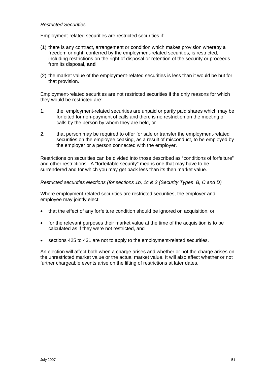## <span id="page-50-0"></span>*Restricted Securities*

Employment-related securities are restricted securities if:

- (1) there is any contract, arrangement or condition which makes provision whereby a freedom or right, conferred by the employment-related securities, is restricted, including restrictions on the right of disposal or retention of the security or proceeds from its disposal, **and**
- (2) the market value of the employment-related securities is less than it would be but for that provision.

Employment-related securities are not restricted securities if the only reasons for which they would be restricted are:

- 1. the employment-related securities are unpaid or partly paid shares which may be forfeited for non-payment of calls and there is no restriction on the meeting of calls by the person by whom they are held, or
- 2. that person may be required to offer for sale or transfer the employment-related securities on the employee ceasing, as a result of misconduct, to be employed by the employer or a person connected with the employer.

Restrictions on securities can be divided into those described as "conditions of forfeiture" and other restrictions. A "forfeitable security" means one that may have to be surrendered and for which you may get back less than its then market value.

## *Restricted securities elections (for sections 1b, 1c & 2 (Security Types B, C and D)*

Where employment-related securities are restricted securities, the employer and employee may jointly elect:

- that the effect of any forfeiture condition should be ignored on acquisition, or
- for the relevant purposes their market value at the time of the acquisition is to be calculated as if they were not restricted, and
- sections 425 to 431 are not to apply to the employment-related securities.

An election will affect both when a charge arises and whether or not the charge arises on the unrestricted market value or the actual market value. It will also affect whether or not further chargeable events arise on the lifting of restrictions at later dates.